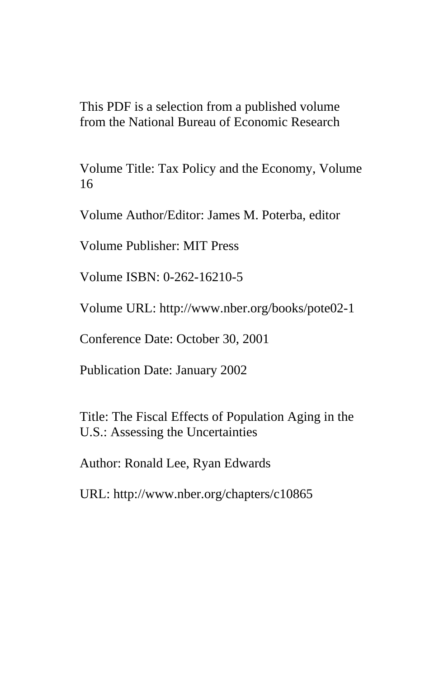This PDF is a selection from a published volume from the National Bureau of Economic Research

Volume Title: Tax Policy and the Economy, Volume 16

Volume Author/Editor: James M. Poterba, editor

Volume Publisher: MIT Press

Volume ISBN: 0-262-16210-5

Volume URL: http://www.nber.org/books/pote02-1

Conference Date: October 30, 2001

Publication Date: January 2002

Title: The Fiscal Effects of Population Aging in the U.S.: Assessing the Uncertainties

Author: Ronald Lee, Ryan Edwards

URL: http://www.nber.org/chapters/c10865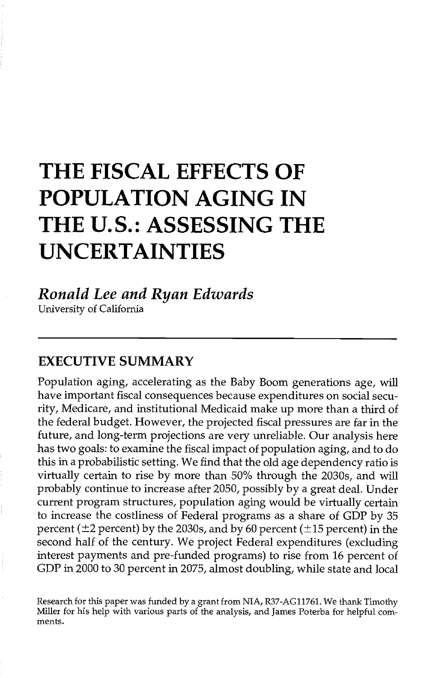# THE FISCAL EFFECTS OF POPULATION AGING IN THE U.S.: ASSESSING THE UNCERTAINTIES

# Ronald Lee and Ryan Edwards

University of California

### EXECUTIVE SUMMARY

Population aging, accelerating as the Baby Boom generations age, will have important fiscal consequences because expenditures on social security, Medicare, and institutional Medicaid make up more than a third of the federal budget. However, the projected fiscal pressures are far in the future, and long-term projections are very unreliable. Our analysis here has two goals: to examine the fiscal impact of population aging, and to do this in a probabilistic setting. We find that the old age dependency ratio is virtually certain to rise by more than 50% through the 2030s, and will probably continue to increase after 2050, possibly by a great deal. Under current program structures, population aging would be virtually certain to increase the costliness of Federal programs as a share of GDP by 35 percent ( $\pm$ 2 percent) by the 2030s, and by 60 percent ( $\pm$ 15 percent) in the second half of the century. We project Federal expenditures (excluding interest payments and pre-funded programs) to rise from 16 percent of GDP in 2000 to 30 percent in 2075, almost doubling, while state and local

Research for this paper was funded by a grant from NIA, R37-AC11761. We thank Timothy Miller for his help with various parts of the analysis, and James Poterba for helpful comments.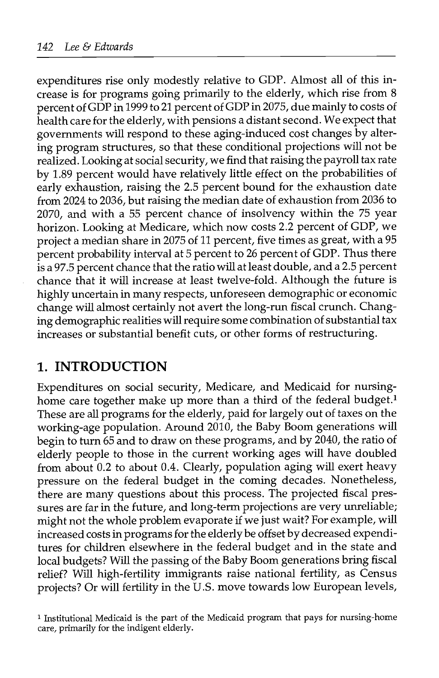expenditures rise only modestly relative to GDP. Almost all of this increase is for programs going primarily to the elderly, which rise from 8 percent of GDP in 1999 to 21 percent of GDP in 2075, due mainly to costs of health care for the elderly, with pensions a distant second. We expect that governments wifi respond to these aging-induced cost changes by altering program structures, so that these conditional projections will not be realized. Looking at social security, we find that raising the payroll tax rate by 1.89 percent would have relatively little effect on the probabilities of early exhaustion, raising the 2.5 percent bound for the exhaustion date from 2024 to 2036, but raising the median date of exhaustion from 2036 to 2070, and with a 55 percent chance of insolvency within the 75 year horizon. Looking at Medicare, which now costs 2.2 percent of GDP, we project a median share in 2075 of 11 percent, five times as great, with a 95 percent probability interval at 5 percent to 26 percent of GDP. Thus there is a 97.5 percent chance that the ratio wifi at least double, and a 2.5 percent chance that it will increase at least twelve-fold. Although the future is highly uncertain in many respects, unforeseen demographic or economic change wifi almost certainly not avert the long-run fiscal crunch. Changing demographic realities will require some combination of substantial tax increases or substantial benefit cuts, or other forms of restructuring.

### 1. INTRODUCTION

Expenditures on social security, Medicare, and Medicaid for nursinghome care together make up more than a third of the federal budget.<sup>1</sup> These are all programs for the elderly, paid for largely out of taxes on the working-age population. Around 2010, the Baby Boom generations will begin to turn 65 and to draw on these programs, and by 2040, the ratio of elderly people to those in the current working ages will have doubled from about 0.2 to about 0.4. Clearly, population aging will exert heavy pressure on the federal budget in the coming decades. Nonetheless, there are many questions about this process. The projected fiscal pressures are far in the future, and long-term projections are very unreliable; might not the whole problem evaporate if we just wait? For example, wifi increased costs in programs for the elderly be offset by decreased expenditures for children elsewhere in the federal budget and in the state and local budgets? Will the passing of the Baby Boom generations bring fiscal relief? Will high-fertility immigrants raise national fertility, as Census projects? Or will fertility in the U.S. move towards low European levels,

<sup>&</sup>lt;sup>1</sup> Institutional Medicaid is the part of the Medicaid program that pays for nursing-home care, primarily for the indigent elderly.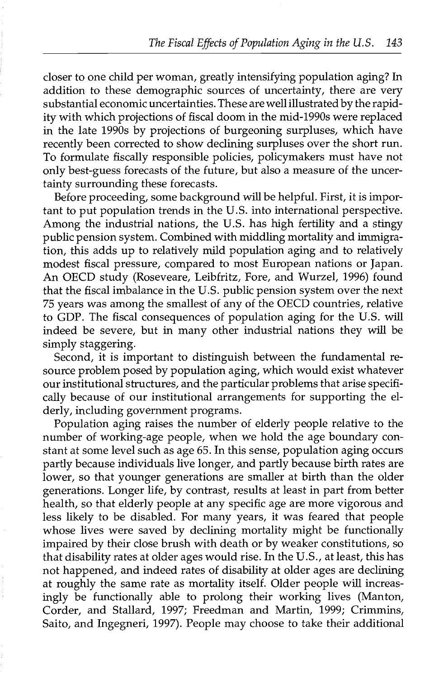closer to one child per woman, greatly intensifying population aging? In addition to these demographic sources of uncertainty, there are very substantial economic uncertainties. These are well illustrated by the rapidity with which projections of fiscal doom in the mid-1990s were replaced in the late 1990s by projections of burgeoning surpluses, which have recently been corrected to show declining surpluses over the short run. To formulate fiscally responsible policies, policymakers must have not only best-guess forecasts of the future, but also a measure of the uncertainty surrounding these forecasts.

Before proceeding, some background will be helpful. First, it is important to put population trends in the U.S. into international perspective. Among the industrial nations, the U.S. has high fertility and a stingy public pension system. Combined with middling mortality and immigration, this adds up to relatively mild population aging and to relatively modest fiscal pressure, compared to most European nations or Japan. An OECD study (Roseveare, Leibfritz, Fore, and Wurzel, 1996) found that the fiscal imbalance in the U.S. public pension system over the next 75 years was among the smallest of any of the OECD countries, relative to GDP. The fiscal consequences of population aging for the U.S. wifi indeed be severe, but in many other industrial nations they wifi be simply staggering.

Second, it is important to distinguish between the fundamental resource problem posed by population aging, which would exist whatever our institutional structures, and the particular problems that arise specifically because of our institutional arrangements for supporting the elderly, including government programs.

Population aging raises the number of elderly people relative to the number of working-age people, when we hold the age boundary constant at some level such as age 65. In this sense, population aging occurs partly because individuals live longer, and partly because birth rates are lower, so that younger generations are smaller at birth than the older generations. Longer life, by contrast, results at least in part from better health, so that elderly people at any specific age are more vigorous and less likely to be disabled. For many years, it was feared that people whose lives were saved by declining mortality might be functionally impaired by their close brush with death or by weaker constitutions, so that disability rates at older ages would rise. In the U.S., at least, this has not happened, and indeed rates of disability at older ages are declining at roughly the same rate as mortality itself. Older people will increasingly be functionally able to prolong their working lives (Manton, Corder, and Stallard, 1997; Freedman and Martin, 1999; Crimmins, Saito, and Ingegneri, 1997). People may choose to take their additional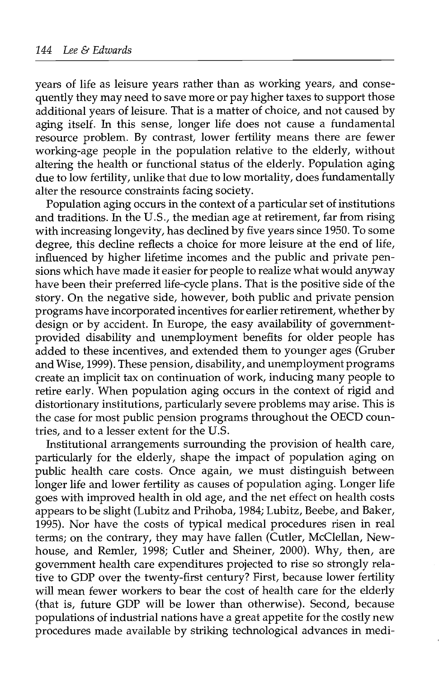years of life as leisure years rather than as working years, and consequently they may need to save more or pay higher taxes to support those additional years of leisure. That is a matter of choice, and not caused by aging itself. In this sense, longer life does not cause a fundamental resource problem. By contrast, lower fertility means there are fewer working-age people in the population relative to the elderly, without altering the health or functional status of the elderly. Population aging due to low fertility, unlike that due to low mortality, does fundamentally alter the resource constraints facing society.

Population aging occurs in the context of a particular set of institutions and traditions. In the U.S., the median age at retirement, far from rising with increasing longevity, has declined by five years since 1950. To some degree, this decline reflects a choice for more leisure at the end of life, influenced by higher lifetime incomes and the public and private pensions which have made it easier for people to realize what would anyway have been their preferred life-cycle plans. That is the positive side of the story. On the negative side, however, both public and private pension programs have incorporated incentives for earlier retirement, whether by design or by accident. In Europe, the easy availability of governmentprovided disability and unemployment benefits for older people has added to these incentives, and extended them to younger ages (Gruber and Wise, 1999). These pension, disability, and unemployment programs create an implicit tax on continuation of work, inducing many people to retire early. When population aging occurs in the context of rigid and distortionary institutions, particularly severe problems may arise. This is the case for most public pension programs throughout the OECD countries, and to a lesser extent for the U.S.

Institutional arrangements surrounding the provision of health care, particularly for the elderly, shape the impact of population aging on public health care costs. Once again, we must distinguish between longer life and lower fertility as causes of population aging. Longer life goes with improved health in old age, and the net effect on health costs appears to be slight (Lubitz and Prihoba, 1984; Lubitz, Beebe, and Baker, 1995). Nor have the costs of typical medical procedures risen in real terms, on the contrary, they may have fallen (Cutler, McClellan, Newhouse, and Remler, 1998; Cutler and Sheiner, 2000). Why, then, are government health care expenditures projected to rise so strongly relative to GDP over the twenty-first century? First, because lower fertility will mean fewer workers to bear the cost of health care for the elderly (that is, future GDP will be lower than otherwise). Second, because populations of industrial nations have a great appetite for the costly new procedures made available by striking technological advances in medi-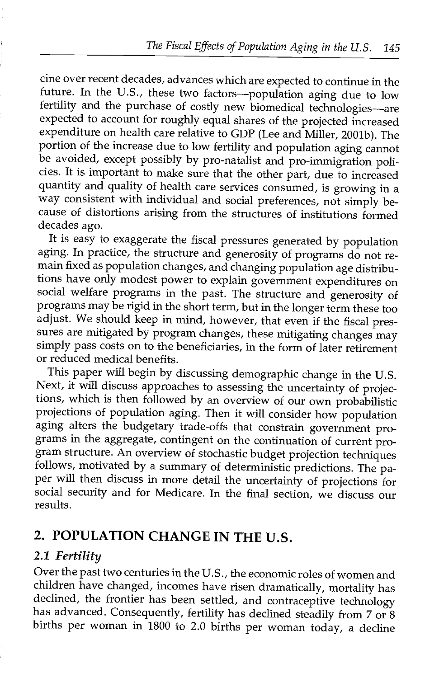cine over recent decades, advances which are expected to continue in the future. In the U.S., these two factors—population aging due to low fertility and the purchase of costly new biomedical technologies—are expected to account for roughly equal shares of the projected increased expenditure on health care relative to GDP (Lee and Miller, 2001b). The portion of the increase due to low fertility and population aging cannot<br>be avoided, except possibly by pro-natalist and pro-immigration poli- $\overline{p}$  cies. It is important to make sure that the other part, due to increased quantity and quality of health care services consumed, is growing in a way consistent with individual and social preferences, not simply because of distortions arising from the structures of institutions formed decades ago.

It is easy to exaggerate the fiscal pressures generated by population aging. In practice, the structure and generosity of programs do not remain fixed as population changes, and changing population age distributions have only modest power to explain government expenditures on social welfare programs in the past. The structure and generosity of programs may be rigid in the short term, but in the longer term these too adjust. We should keep in mind, however, that even if the fiscal pressures are mitigated by program changes, these mitigating changes may simply pass costs on to the beneficiaries, in the form of later retirement or reduced medical benefits.

This paper will begin by discussing demographic change in the U.S. Next, it will discuss approaches to assessing the uncertainty of projections, which is then followed by an overview of our own probabilistic projections of population aging. Then it will consider how population aging alters the budgetary trade-offs that constrain government programs in the aggregate, contingent on the continuation of current program structure. An overview of stochastic budget projection techniques<br>follows, motivated by a summary of deterministic predictions. The pafollows, more detail the uncertainty of projections for social security and for Medicare. In the final section, we discuss our results.

## 2. POPULATION CHANGE IN THE U.S.

#### 2.1 Fertility

Over the past two centuries in the U.S., the economic roles of women and children have changed, incomes have risen dramatically, mortality has declined, the frontier has been settled, and contraceptive technology has advanced. Consequently, fertility has declined steadily from 7 or 8 births per woman in 1800 to 2.0 births per woman today, a decline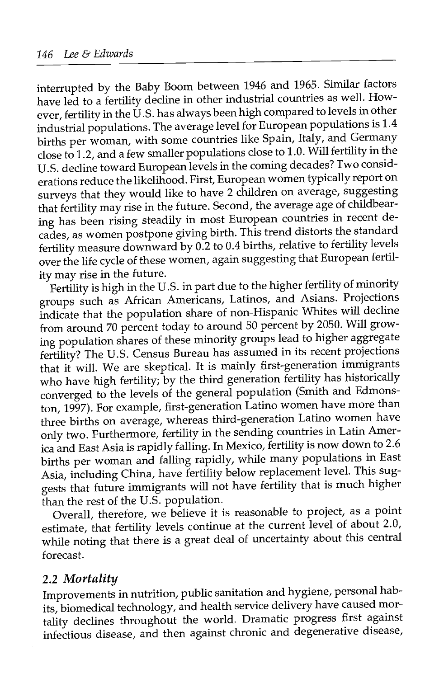interrupted by the Baby Boom between 1946 and 1965. Similar factors have led to a fertility decline in other industrial countries as well. However, fertility in the U.S. has always been high compared to levels in other industrial populations. The average level for European populations is 1.4 births per woman, with some countries like Spain, Italy, and Germany close to 1.2, and a few smaller populations close to 1.0. Will fertility in the U.S. decline toward European levels in the coming decades? Two considerations reduce the likelihood. First, European women typically report on surveys that they would like to have 2 children on average, suggesting that fertility may rise in the future. Second, the average age of childbearing has been rising steadily in most European countries in recent decades, as women postpone giving birth. This trend distorts the standard fertility measure downward by 0.2 to 0.4 births, relative to fertility levels over the life cycle of these women, again suggesting that European fertility may rise in the future.

Fertility is high in the U.S. in part due to the higher fertility of minority groups such as African Americans, Latinos, and Asians. Projections indicate that the population share of non-Hispanic Whites wifi decline from around 70 percent today to around 50 percent by 2050. Will growing population shares of these minority groups lead to higher aggregate fertility? The U.S. Census Bureau has assumed in its recent projections that it will. We are skeptical. It is mainly first-generation immigrants who have high fertility; by the third generation fertility has historically converged to the levels of the general population (Smith and Edmonston, 1997). For example, first-generation Latino women have more than three births on average, whereas third-generation Latino women have only two. Furthermore, fertility in the sending countries in Latin America and East Asia is rapidly falling. In Mexico, fertility is now down to 2.6 births per woman and falling rapidly, while many populations in East Asia, including China, have fertility below replacement level. This suggests that future immigrants will not have fertility that is much higher than the rest of the U.S. population.

Overall, therefore, we believe it is reasonable to project, as a point estimate, that fertility levels continue at the current level of about 2.0, while noting that there is a great deal of uncertainty about this central forecast.

#### 2.2 Mortality

Improvements in nutrition, public sanitation and hygiene, personal habits, biomedical technology, and health service delivery have caused mortality declines throughout the world. Dramatic progress first against infectious disease, and then against chronic and degenerative disease,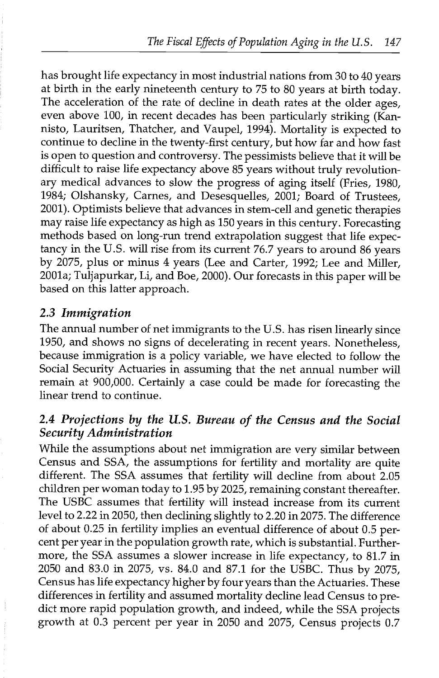has brought life expectancy in most industrial nations from 30 to 40 years at birth in the early nineteenth century to 75 to 80 years at birth today. The acceleration of the rate of decline in death rates at the older ages, even above 100, in recent decades has been particularly striking (Kannisto, Lauritsen, Thatcher, and Vaupel, 1994). Mortality is expected to continue to decline in the twenty-first century, but how far and how fast is open to question and controversy. The pessimists believe that it will be difficult to raise life expectancy above 85 years without truly revolutionary medical advances to slow the progress of aging itself (Fries, 1980, 1984; Olshansky, Carnes, and Desesquelles, 2001; Board of Trustees, 2001). Optimists believe that advances in stem-cell and genetic therapies may raise life expectancy as high as 150 years in this century. Forecasting methods based on long-run trend extrapolation suggest that life expectancy in the U.S. will rise from its current 76.7 years to around 86 years by 2075, plus or minus 4 years (Lee and Carter, 1992; Lee and Miller, 2001a; Tuljapurkar, Li, and Boe, 2000). Our forecasts in this paper wifi be based on this latter approach.

### 2.3 Immigration

The annual number of net immigrants to the U.S. has risen linearly since 1950, and shows no signs of decelerating in recent years. Nonetheless, because immigration is a policy variable, we have elected to follow the Social Security Actuaries in assuming that the net annual number will remain at 900,000. Certainly a case could be made for forecasting the linear trend to continue.

### 2.4 Projections by the U.S. Bureau of the Census and the Social Security Administration

While the assumptions about net immigration are very similar between Census and SSA, the assumptions for fertility and mortality are quite different. The SSA assumes that fertility will decline from about 2.05 children per woman today to 1.95 by 2025, remaining constant thereafter. The USBC assumes that fertility will instead increase from its current level to 2.22 in 2050, then declining slightly to 2.20 in 2075. The difference of about 0.25 in fertility implies an eventual difference of about 0.5 percent per year in the population growth rate, which is substantial. Furthermore, the SSA assumes a slower increase in life expectancy, to 81.7 in 2050 and 83.0 in 2075, vs. 84.0 and 87.1 for the USBC. Thus by 2075, Census has life expectancy higher by four years than the Actuaries. These differences in fertility and assumed mortality decline lead Census to predict more rapid population growth, and indeed, while the SSA projects growth at 0.3 percent per year in 2050 and 2075, Census projects 0.7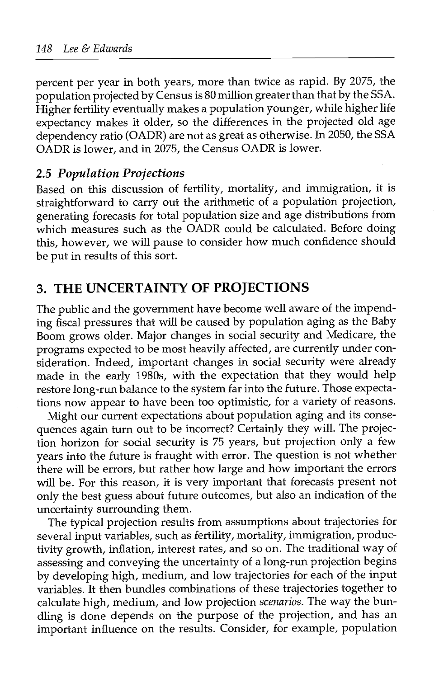percent per year in both years, more than twice as rapid. By 2075, the population projected by Census is 80 million greater than that by the SSA. Higher fertility eventually makes a population younger, while higher life expectancy makes it older, so the differences in the projected old age dependency ratio (OADR) are not as great as otherwise. In 2050, the SSA OADR is lower, and in 2075, the Census OADR is lower.

#### 2.5 Population Projections

Based on this discussion of fertility, mortality, and immigration, it is straightforward to carry out the arithmetic of a population projection, generating forecasts for total population size and age distributions from which measures such as the OADR could be calculated. Before doing this, however, we wifi pause to consider how much confidence should be put in results of this sort.

### 3. THE UNCERTAINTY OF PROJECTIONS

The public and the government have become well aware of the impending fiscal pressures that wifi be caused by population aging as the Baby Boom grows older. Major changes in social security and Medicare, the programs expected to be most heavily affected, are currently under consideration. Indeed, important changes in social security were already made in the early 1980s, with the expectation that they would help restore long-run balance to the system far into the future. Those expectations now appear to have been too optimistic, for a variety of reasons.

Might our current expectations about population aging and its consequences again turn out to be incorrect? Certainly they will. The projection horizon for social security is 75 years, but projection only a few years into the future is fraught with error. The question is not whether there will be errors, but rather how large and how important the errors will be. For this reason, it is very important that forecasts present not only the best guess about future outcomes, but also an indication of the uncertainty surrounding them.

The typical projection results from assumptions about trajectories for several input variables, such as fertility, mortality, immigration, productivity growth, inflation, interest rates, and so on. The traditional way of assessing and conveying the uncertainty of a long-run projection begins by developing high, medium, and low trajectories for each of the input variables. It then bundles combinations of these trajectories together to calculate high, medium, and low projection scenarios. The way the bundling is done depends on the purpose of the projection, and has an important influence on the results. Consider, for example, population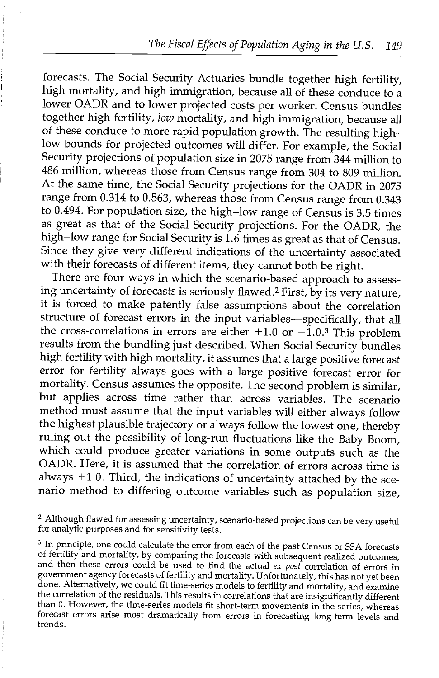forecasts. The Social Security Actuaries bundle together high fertility, high mortality, and high immigration, because all of these conduce to a lower OADR and to lower projected costs per worker. Census bundles together high fertility, low mortality, and high immigration, because all of these conduce to more rapid population growth. The resulting high low bounds for projected outcomes will differ. For example, the Social Security projections of population size in 2075 range from 344 million to 486 million, whereas those from Census range from 304 to 809 million. At the same time, the Social Security projections for the OADR in 2075 range from 0.314 to 0.563, whereas those from Census range from 0.343 to  $0.494$ . For population size, the high-low range of Census is 3.5 times as great as that of the Social Security projections. For the OADR, the high-low range for Social Security is  $1.6$  times as great as that of Census. Since they give very different indications of the uncertainty associated with their forecasts of different items, they cannot both be right.

There are four ways in which the scenario-based approach to assessing uncertainty of forecasts is seriously flawed.2 First, by its very nature, it is forced to make patently false assumptions about the correlation structure of forecast errors in the input variables-specifically, that all the cross-correlations in errors are either  $+1.0$  or  $-1.0$ .<sup>3</sup> This problem results from the bundling just described. When Social Security bundles high fertility with high mortality, it assumes that a large positive forecast error for fertility always goes with a large positive forecast error for mortality. Census assumes the opposite. The second problem is similar, but applies across time rather than across variables. The scenario method must assume that the input variables will either always follow the highest plausible trajectory or always follow the lowest one, thereby ruling out the possibility of long-run fluctuations like the Baby Boom, which could produce greater variations in some outputs such as the OADR. Here, it is assumed that the correlation of errors across time is always  $+1.0$ . Third, the indications of uncertainty attached by the scenario method to differing outcome variables such as population size,

 $^2$  Although flawed for assessing uncertainty, scenario-based projections can be very useful for analytic purposes and for sensitivity tests.

 $3$  In principle, one could calculate the error from each of the past Census or SSA forecasts of fertility and mortality, by comparing the forecasts with subsequent realized outcomes, and then these errors could be used to find the actual ex post correlation of errors in government agency forecasts of fertility and mortality. Unfortunately, this has not yet been done. Alternatively, we could fit time-series models to fertility and mortality, and examine the correlation of the residuals. This results in correlations that are insignificantly different than 0. However, the time-series models fit short-term movements in the series, whereas forecast errors arise most dramatically from errors in forecasting long-term levels and trends.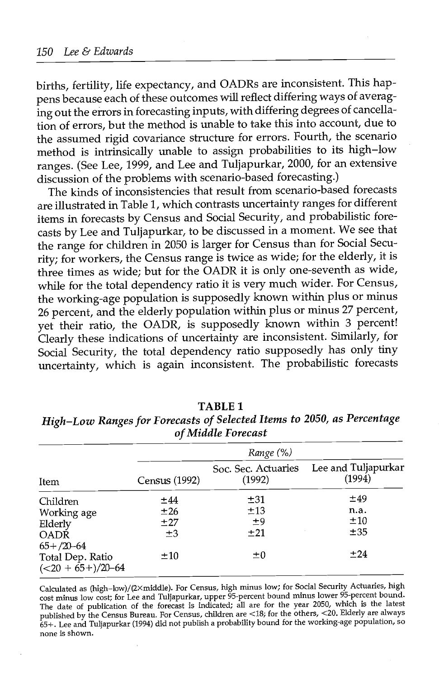births, fertility, life expectancy, and OADRs are inconsistent. This happens because each of these outcomes will reflect differing ways of averaging out the errors in forecasting inputs, with differing degrees of cancellation of errors, but the method is unable to take this into account, due to the assumed rigid covariance structure for errors. Fourth, the scenario method is intrinsically unable to assign probabilities to its high-low ranges. (See Lee, 1999, and Lee and Tuijapurkar, 2000, for an extensive discussion of the problems with scenario-based forecasting.)

The kinds of inconsistencies that result from scenario-based forecasts are illustrated in Table 1, which contrasts uncertainty ranges for different items in forecasts by Census and Social Security, and probabilistic forecasts by Lee and Tuljapurkar, to be discussed in a moment. We see that the range for children in 2050 is larger for Census than for Social Security; for workers, the Census range is twice as wide; for the elderly, it is three times as wide; but for the OADR it is only one-seventh as wide, while for the total dependency ratio it is very much wider. For Census, the working-age population is supposedly known within plus or minus 26 percent, and the elderly population within plus or minus 27 percent, yet their ratio, the OADR, is supposedly known within 3 percent! Clearly these indications of uncertainty are inconsistent. Similarly, for Social Security, the total dependency ratio supposedly has only tiny uncertainty, which is again inconsistent. The probabilistic forecasts

|                                          | Range (%)     |                               |                               |
|------------------------------------------|---------------|-------------------------------|-------------------------------|
| Item                                     |               |                               |                               |
|                                          | Census (1992) | Soc. Sec. Actuaries<br>(1992) | Lee and Tuljapurkar<br>(1994) |
| Children                                 | ±44           | ±31                           | ±49                           |
| Working age                              | ±26           | ±13                           | n.a.                          |
| Elderly                                  | ±27           | ±9                            | $\pm 10$                      |
| <b>OADR</b>                              | ±3            | ±21                           | ±35                           |
| $65 + 720 - 64$                          |               |                               |                               |
| Total Dep. Ratio<br>$(<20 + 65+)$ /20-64 | ±10           | ±0                            | ±24                           |

TABLE 1 High-Low Ranges for Forecasts of Selected Items to 2050, as Percentage of Middle Forecast

Calculated as (high-low)/(2Xmiddle). For Census, high minus low; for Social Security Actuaries, high cost minus low cost; for Lee and Tuljapurkar, upper 95-percent bound minus lower 95-percent bound. The date of publication of the forecast is indicated; all are for the year 2050, which is the latest published by the Census Bureau. For Census, children are <18; for the others, <20. Elderly are always 65+. Lee and Tuljapurkar (1994) did not publish a probability bound for the working-age population, so none is shown.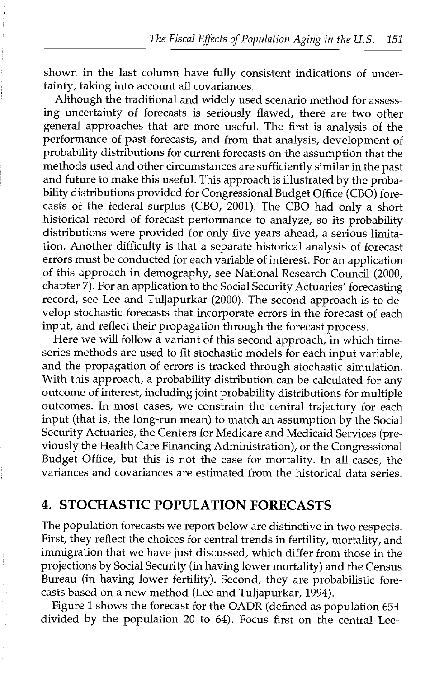shown in the last column have fully consistent indications of uncertainty, taking into account all covariances.

Although the traditional and widely used scenario method for assessing uncertainty of forecasts is seriously flawed, there are two other general approaches that are more useful. The first is analysis of the performance of past forecasts, and from that analysis, development of probability distributions for current forecasts on the assumption that the methods used and other circumstances are sufficiently similar in the past and future to make this useful. This approach is illustrated by the probability distributions provided for Congressional Budget Office (CBO) forecasts of the federal surplus (CBO, 2001). The CBO had only a short historical record of forecast performance to analyze, so its probability distributions were provided for only five years ahead, a serious limitation. Another difficulty is that a separate historical analysis of forecast errors must be conducted for each variable of interest. For an application of this approach in demography, see National Research Council (2000, chapter 7). For an application to the Social Security Actuaries' forecasting record, see Lee and Tuljapurkar (2000). The second approach is to develop stochastic forecasts that incorporate errors in the forecast of each input, and reflect their propagation through the forecast process.

Here we will follow a variant of this second approach, in which timeseries methods are used to fit stochastic models for each input variable, and the propagation of errors is tracked through stochastic simulation. With this approach, a probability distribution can be calculated for any outcome of interest, including joint probability distributions for multiple outcomes. In most cases, we constrain the central trajectory for each input (that is, the long-run mean) to match an assumption by the Social Security Actuaries, the Centers for Medicare and Medicaid Services (previously the Health Care Financing Administration), or the Congressional Budget Office, but this is not the case for mortality. In all cases, the variances and covariances are estimated from the historical data series.

### 4. STOCHASTIC POPULATION FORECASTS

The population forecasts we report below are distinctive in two respects. First, they reflect the choices for central trends in fertility, mortality, and immigration that we have just discussed, which differ from those in the projections by Social Security (in having lower mortality) and the Census Bureau (in having lower fertility). Second, they are probabilistic forecasts based on a new method (Lee and Tuljapurkar, 1994).

Figure 1 shows the forecast for the OADR (defined as population 65 + divided by the population 20 to 64). Focus first on the central Lee-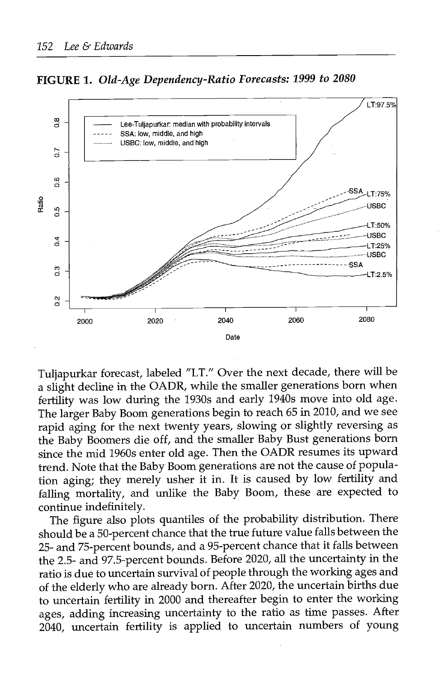



Tuljapurkar forecast, labeled "LT." Over the next decade, there will be a slight decline in the OADR, while the smaller generations born when fertility was low during the 1930s and early 1940s move into old age. The larger Baby Boom generations begin to reach 65 in 2010, and we see rapid aging for the next twenty years, slowing or slightly reversing as the Baby Boomers die off, and the smaller Baby Bust generations born since the mid 1960s enter old age. Then the OADR resumes its upward trend. Note that the Baby Boom generations are not the cause of population aging; they merely usher it in. It is caused by low fertility and falling mortality, and unlike the Baby Boom, these are expected to continue indefinitely.

The figure also plots quantiles of the probability distribution. There should be a 50-percent chance that the true future value falls between the 25- and 75-percent bounds, and a 95-percent chance that it falls between the 2.5- and 97.5-percent bounds. Before 2020, all the uncertainty in the ratio is due to uncertain survival of people through the working ages and of the elderly who are already born. After 2020, the uncertain births due to uncertain fertility in 2000 and thereafter begin to enter the working ages, adding increasing uncertainty to the ratio as time passes. After 2040, uncertain fertility is applied to uncertain numbers of young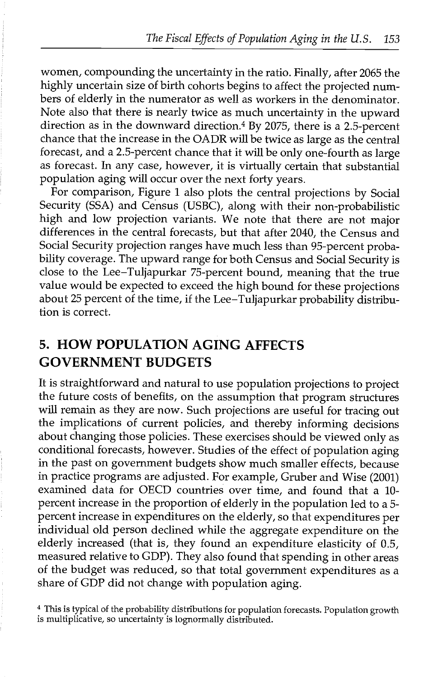women, compounding the uncertainty in the ratio. Finally, after 2065 the highly uncertain size of birth cohorts begins to affect the projected numbers of elderly in the numerator as well as workers in the denominator. Note also that there is nearly twice as much uncertainty in the upward direction as in the downward direction.<sup>4</sup> By 2075, there is a 2.5-percent chance that the increase in the OADR wifi be twice as large as the central forecast, and a 2.5-percent chance that it wifi be only one-fourth as large as forecast. In any case, however, it is virtually certain that substantial population aging will occur over the next forty years.

For comparison, Figure 1 also plots the central projections by Social Security (SSA) and Census (USBC), along with their non-probabilistic high and low projection variants. We note that there are not major differences in the central forecasts, but that after 2040, the Census and Social Security projection ranges have much less than 95-percent probability coverage. The upward range for both Census and Social Security is close to the Lee-Tuljapurkar 75-percent bound, meaning that the true value would be expected to exceed the high bound for these projections about 25 percent of the time, if the Lee-Tuljapurkar probability distribution is correct.

# 5. HOW POPULATION AGING AFFECTS GOVERNMENT BUDGETS

It is straightforward and natural to use population projections to project the future costs of benefits, on the assumption that program structures will remain as they are now. Such projections are useful for tracing out the implications of current policies, and thereby informing decisions about changing those policies. These exercises should be viewed only as conditional forecasts, however. Studies of the effect of population aging in the past on government budgets show much smaller effects, because in practice programs are adjusted. For example, Gruber and Wise (2001) examined data for OECD countries over time, and found that a 10 percent increase in the proportion of elderly in the population led to a 5 percent increase in expenditures on the elderly, so that expenditures per individual old person declined while the aggregate expenditure on the elderly increased (that is, they found an expenditure elasticity of 0.5, measured relative to GDP). They also found that spending in other areas of the budget was reduced, so that total government expenditures as a share of GDP did not change with population aging.

<sup>&</sup>lt;sup>4</sup> This is typical of the probability distributions for population forecasts. Population growth is multiplicative, so uncertainty is lognormally distributed.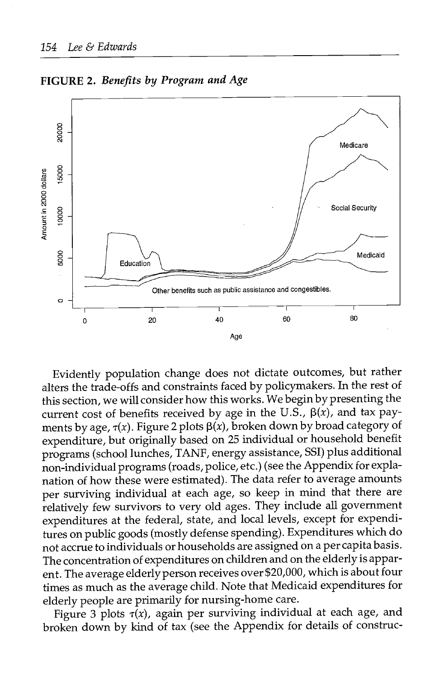

FIGURE 2. Benefits by Program and Age

Evidently population change does not dictate outcomes, but rather alters the trade-offs and constraints faced by policymakers. In the rest of this section, we will consider how this works. We begin by presenting the current cost of benefits received by age in the U.S.,  $\beta(x)$ , and tax payments by age,  $\tau(x)$ . Figure 2 plots  $\beta(x)$ , broken down by broad category of expenditure, but originally based on 25 individual or household benefit programs (school lunches, TANF, energy assistance, SSI) plus additional non-individual programs (roads, police, etc.) (see the Appendix for explanation of how these were estimated). The data refer to average amounts per surviving individual at each age, so keep in mind that there are relatively few survivors to very old ages. They include all government expenditures at the federal, state, and local levels, except for expenditures on public goods (mostly defense spending). Expenditures which do not accrue to individuals or households are assigned on a per capitabasis. The concentration of expenditures on children and on the elderly is apparent. The average elderly person receives over \$20,000, which is about four times as much as the average child. Note that Medicaid expenditures for elderly people are primarily for nursing-home care.

Figure 3 plots  $\tau(x)$ , again per surviving individual at each age, and broken down by kind of tax (see the Appendix for details of construc-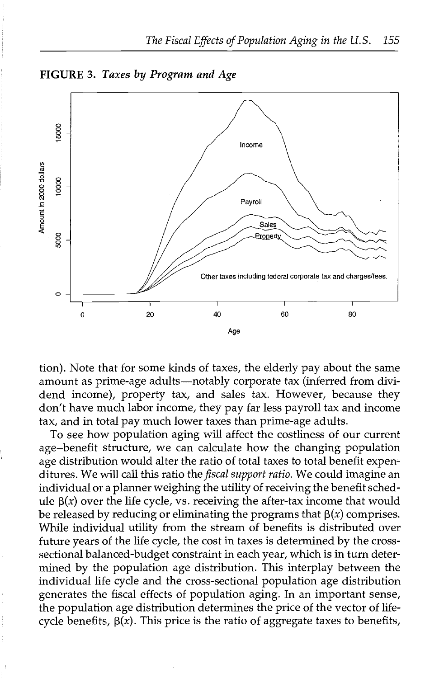



tion). Note that for some kinds of taxes, the elderly pay about the same amount as prime-age adults-notably corporate tax (inferred from dividend income), property tax, and sales tax. However, because they don't have much labor income, they pay far less payroll tax and income tax, and in total pay much lower taxes than prime-age adults.

To see how population aging will affect the costliness of our current age-benefit structure, we can calculate how the changing population age distribution would alter the ratio of total taxes to total benefit expenditures. We will call this ratio the fiscal support ratio. We could imagine an individual or a planner weighing the utility of receiving the benefit schedule  $\beta(x)$  over the life cycle, vs. receiving the after-tax income that would be released by reducing or eliminating the programs that  $\beta(x)$  comprises. While individual utility from the stream of benefits is distributed over future years of the life cycle, the cost in taxes is determined by the crosssectional balanced-budget constraint in each year, which is in turn determined by the population age distribution. This interplay between the individual life cycle and the cross-sectional population age distribution generates the fiscal effects of population aging. In an important sense, the population age distribution determines the price of the vector of lifecycle benefits,  $\beta(x)$ . This price is the ratio of aggregate taxes to benefits,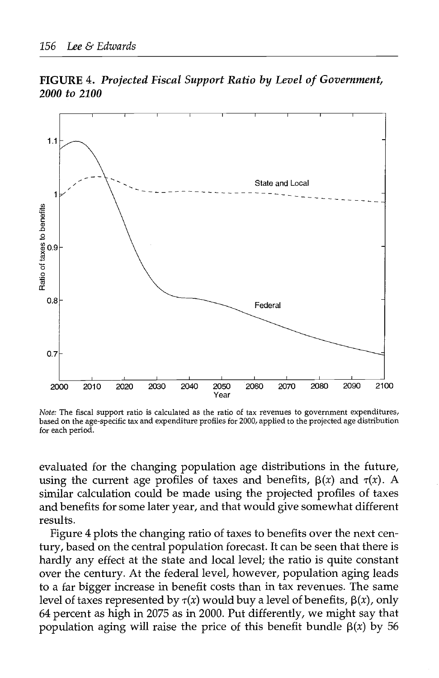FIGURE 4. Projected Fiscal Support Ratio by Level of Government, 2000 to 2100



Note: The fiscal support ratio is calculated as the ratio of tax revenues to government expenditures, based on the age-specific tax and expenditure profiles for 2000, applied to the projected age distribution for each period.

evaluated for the changing population age distributions in the future, using the current age profiles of taxes and benefits,  $\beta(x)$  and  $\tau(x)$ . A similar calculation could be made using the projected profiles of taxes and benefits for some later year, and that would give somewhat different results.

Figure 4 plots the changing ratio of taxes to benefits over the next century, based on the central population forecast. It can be seen that there is hardly any effect at the state and local level; the ratio is quite constant over the century. At the federal level, however, population aging leads to a far bigger increase in benefit costs than in tax revenues. The same level of taxes represented by  $\tau(x)$  would buy a level of benefits,  $\beta(x)$ , only 64 percent as high in 2075 as in 2000. Put differently, we might say that population aging will raise the price of this benefit bundle  $\beta(x)$  by 56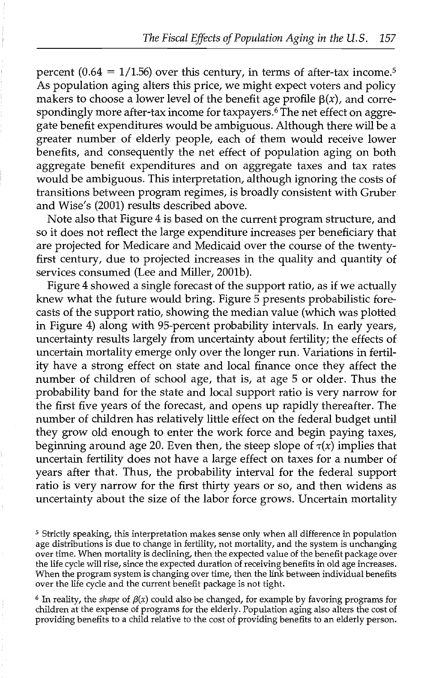percent (0.64 =  $1/1.56$ ) over this century, in terms of after-tax income.<sup>5</sup> As population aging alters this price, we might expect voters and policy makers to choose a lower level of the benefit age profile  $\beta(x)$ , and correspondingly more after-tax income for taxpayers.<sup>6</sup> The net effect on aggregate benefit expenditures would be ambiguous. Although there will be a greater number of elderly people, each of them would receive lower benefits, and consequently the net effect of population aging on both aggregate benefit expenditures and on aggregate taxes and tax rates would be ambiguous. This interpretation, although ignoring the costs of transitions between program regimes, is broadly consistent with Gruber and Wise's (2001) results described above.

Note also that Figure 4 is based on the current program structure, and so it does not reflect the large expenditure increases per beneficiary that are projected for Medicare and Medicaid over the course of the twentyfirst century, due to projected increases in the quality and quantity of services consumed (Lee and Miller, 2001b).

Figure 4 showed a single forecast of the support ratio, as if we actually knew what the future would bring. Figure  $5$  presents probabilistic forecasts of the support ratio, showing the median value (which was plotted in Figure 4) along with 95-percent probability intervals. In early years, uncertainty results largely from uncertainty about fertility; the effects of uncertain mortality emerge only over the longer run. Variations in fertility have a strong effect on state and local finance once they affect the number of children of school age, that is, at age 5 or older. Thus the probability band for the state and local support ratio is very narrow for the first five years of the forecast, and opens up rapidly thereafter. The number of children has relatively little effect on the federal budget until they grow old enough to enter the work force and begin paying taxes, beginning around age 20. Even then, the steep slope of  $\tau(x)$  implies that uncertain fertility does not have a large effect on taxes for a number of years after that. Thus, the probability interval for the federal support ratio is very narrow for the first thirty years or so, and then widens as uncertainty about the size of the labor force grows. Uncertain mortality

<sup>6</sup> In reality, the *shape* of  $\beta(x)$  could also be changed, for example by favoring programs for children at the expense of programs for the elderly. Population aging also alters the cost of providing benefits to a child relative to the cost of providing benefits to an elderly person.

<sup>&</sup>lt;sup>5</sup> Strictly speaking, this interpretation makes sense only when all difference in population age distributions is due to change in fertility, not mortality, and the system is unchanging over time. When mortality is declining, then the expected value of the benefit package over the life cycle will rise, since the expected duration of receiving benefits in old age increases. When the program system is changing over time, then the link between individual benefits over the life cycle and the current benefit package is not tight.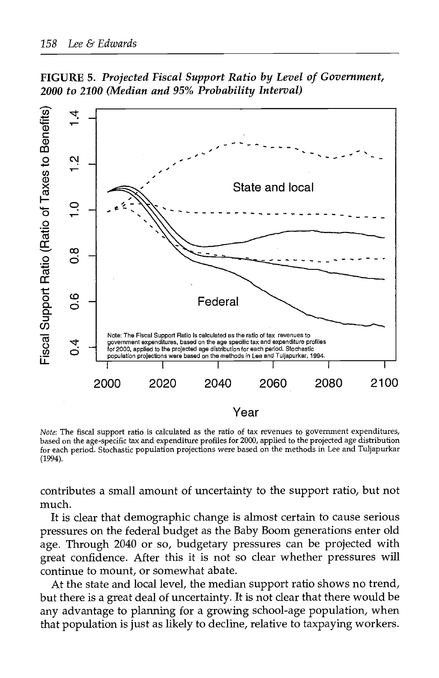FIGURE 5. Projected Fiscal Support Ratio by Level of Government, 2000 to 2100 (Median and 95% Probability Interval)



Note: The fiscal support ratio is calculated as the ratio of tax revenues to government expenditures, based on the age-specific tax and expenditure profiles for 2000, applied to the projected age distribution for each period. Stochastic population projections were based on the methods in Lee and Tuijapurkar (1994).

contributes a small amount of uncertainty to the support ratio, but not much.

It is clear that demographic change is almost certain to cause serious pressures on the federal budget as the Baby Boom generations enter old age. Through 2040 or so, budgetary pressures can be projected with great confidence. After this it is not so clear whether pressures wifi continue to mount, or somewhat abate.

At the state and local level, the median support ratio shows no trend, but there is a great deal of uncertainty. It is not clear that there would be any advantage to planning for a growing school-age population, when that population is just as likely to decline, relative to taxpaying workers.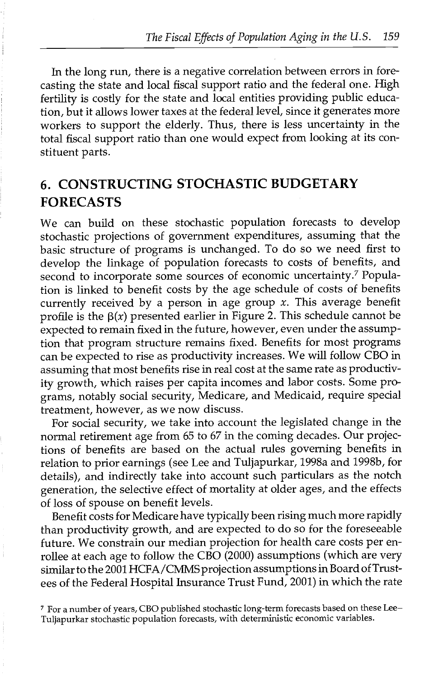In the long run, there is a negative correlation between errors in forecasting the state and local fiscal support ratio and the federal one. High fertility is costly for the state and local entities providing public education, but it allows lower taxes at the federal level, since it generates more workers to support the elderly. Thus, there is less uncertainty in the total fiscal support ratio than one would expect from looking at its constituent parts.

# 6. CONSTRUCTING STOCHASTIC BUDGETARY FORECASTS

We can build on these stochastic population forecasts to develop stochastic projections of government expenditures, assuming that the basic structure of programs is unchanged. To do so we need first to develop the linkage of population forecasts to costs of benefits, and second to incorporate some sources of economic uncertainty.<sup>7</sup> Population is linked to benefit costs by the age schedule of costs of benefits currently received by a person in age group  $x$ . This average benefit profile is the  $\beta(x)$  presented earlier in Figure 2. This schedule cannot be expected to remain fixed in the future, however, even under the assumption that program structure remains fixed. Benefits for most programs can be expected to rise as productivity increases. We will follow CBO in assuming that most benefits rise in real cost at the same rate as productivity growth, which raises per capita incomes and labor costs. Some programs, notably social security, Medicare, and Medicaid, require special treatment, however, as we now discuss.

For social security, we take into account the legislated change in the normal retirement age from 65 to 67 in the coming decades. Our projections of benefits are based on the actual rules governing benefits in relation to prior earnings (see Lee and Tuljapurkar, 1998a and 1998b, for details), and indirectly take into account such particulars as the notch generation, the selective effect of mortality at older ages, and the effects of loss of spouse on benefit levels.

Benefit costs for Medicare have typically been rising much more rapidly than productivity growth, and are expected to do so for the foreseeable future. We constrain our median projection for health care costs per enrollee at each age to follow the CBO (2000) assumptions (which are very similar to the 2001 HCFA/CMMS projection assumptions in Board of Trustees of the Federal Hospital Insurance Trust Fund, 2001) in which the rate

For a number of years, CEO published stochastic long-term forecasts based on these Lee-Tuljapurkar stochastic population forecasts, with deterministic economic variables.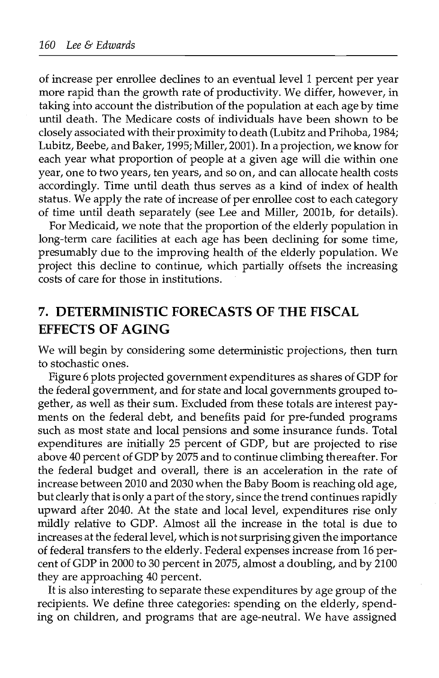of increase per enrollee declines to an eventual level 1 percent per year more rapid than the growth rate of productivity. We differ, however, in taking into account the distribution of the population at each age by time until death. The Medicare costs of individuals have been shown to be closely associated with their proximity to death (Lubitz and Prihoba, 1984; Lubitz, Beebe, and Baker, 1995; Miller, 2001). In a projection, we know for each year what proportion of people at a given age will die within one year, one to two years, ten years, and so on, and can allocate health costs accordingly. Time until death thus serves as a kind of index of health status. We apply the rate of increase of per enrollee cost to each category of time until death separately (see Lee and Miller, 2001b, for details).

For Medicaid, we note that the proportion of the elderly population in long-term care facilities at each age has been declining for some time, presumably due to the improving health of the elderly population. We project this decline to continue, which partially offsets the increasing costs of care for those in institutions.

# 7. DETERMINISTIC FORECASTS OF THE FISCAL EFFECTS OF AGING

We will begin by considering some deterministic projections, then turn to stochastic ones.

Figure 6 plots projected government expenditures as shares of GDP for the federal government, and for state and local governments grouped together, as well as their sum. Excluded from these totals are interest payments on the federal debt, and benefits paid for pre-funded programs such as most state and local pensions and some insurance funds. Total expenditures are initially 25 percent of GDP, but are projected to rise above 40 percent of CDP by 2075 and to continue climbing thereafter. For the federal budget and overall, there is an acceleration in the rate of increase between 2010 and 2030 when the Baby Boom is reaching old age, but clearly that is only a part of the story, since the trend continues rapidly upward after 2040. At the state and local level, expenditures rise only mildly relative to GDP. Almost all the increase in the total is due to increases at the federal level, which is not surprising given the importance of federal transfers to the elderly. Federal expenses increase from 16 percent of GDP in 2000 to 30 percent in 2075, almost a doubling, and by 2100 they are approaching 40 percent.

It is also interesting to separate these expenditures by age group of the recipients. We define three categories: spending on the elderly, spending on children, and programs that are age-neutral. We have assigned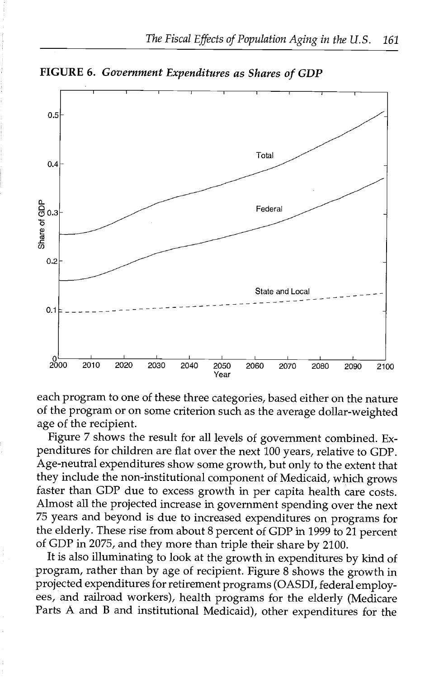

FIGURE 6. Government Expenditures as Shares of GDP

each program to one of these three categories, based either on the nature of the program or on some criterion such as the average dollar-weighted age of the recipient.

Figure 7 shows the result for all levels of government combined. Expenditures for children are flat over the next 100 years, relative to GDP. Age-neutral expenditures show some growth, but only to the extent that they include the non-institutional component of Medicaid, which grows faster than GDP due to excess growth in per capita health care costs. Almost all the projected increase in government spending over the next 75 years and beyond is due to increased expenditures on programs for the elderly. These rise from about 8 percent of GDP in 1999 to 21 percent of GDP in 2075, and they more than triple their share by 2100.

It is also illuminating to look at the growth in expenditures by kind of program, rather than by age of recipient. Figure 8 shows the growth in projected expenditures for retirement programs (OASDI, federal employees, and railroad workers), health programs for the elderly (Medicare Parts A and B and institutional Medicaid), other expenditures for the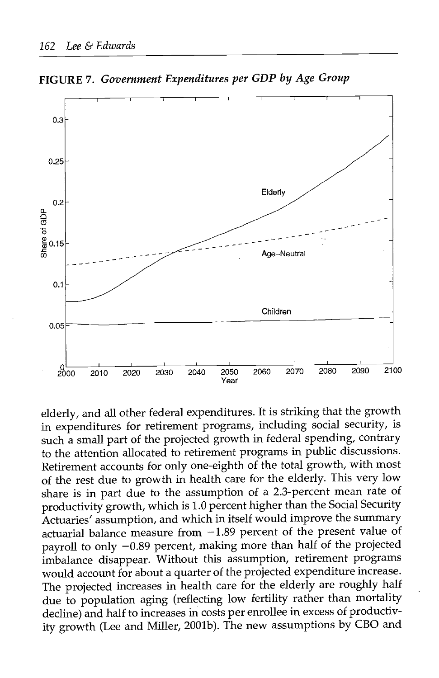

FIGURE 7. Government Expenditures per GDP by Age Group

elderly, and all other federal expenditures. It is striking that the growth in expenditures for retirement programs, including social security, is such a small part of the projected growth in federal spending, contrary to the attention allocated to retirement programs in public discussions. Retirement accounts for only one-eighth of the total growth, with most of the rest due to growth in health care for the elderly. This very low share is in part due to the assumption of a 2.3-percent mean rate of productivity growth, which is 1.0 percent higher than the Social Security Actuaries' assumption, and which in itself would improve the summary actuarial balance measure from  $-1.89$  percent of the present value of payroll to only  $-0.89$  percent, making more than half of the projected imbalance disappear. Without this assumption, retirement programs would account for about a quarter of the projected expenditure increase. The projected increases in health care for the elderly are roughly half due to population aging (reflecting low fertility rather than mortality decline) and half to increases in costs per enrollee in excess of productivity growth (Lee and Miller, 2001b). The new assumptions by CBO and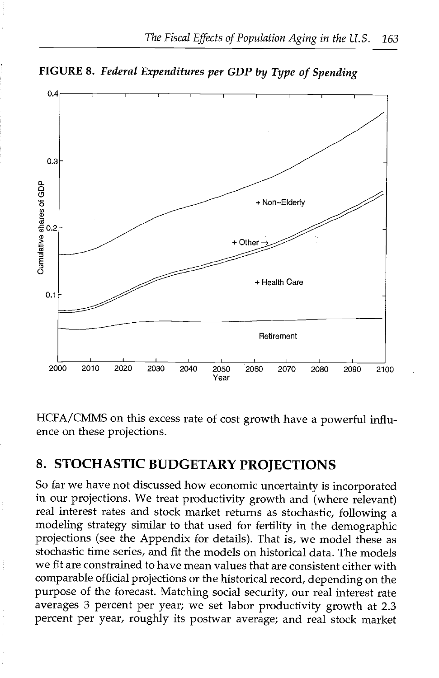

FIGURE 8. Federal Expenditures per GDP by Type of Spending

HCFA/CMMS on this excess rate of cost growth have a powerful influence on these projections.

# 8. STOCHASTIC BUDGETARY PROJECTIONS

So far we have not discussed how economic uncertainty is incorporated in our projections. We treat productivity growth and (where relevant) real interest rates and stock market returns as stochastic, following a modeling strategy similar to that used for fertility in the demographic projections (see the Appendix for details). That is, we model these as stochastic time series, and fit the models on historical data. The models we fit are constrained to have mean values that are consistent either with comparable official projections or the historical record, depending on the purpose of the forecast. Matching social security, our real interest rate averages 3 percent per year; we set labor productivity growth at 2.3 percent per year, roughly its postwar average; and real stock market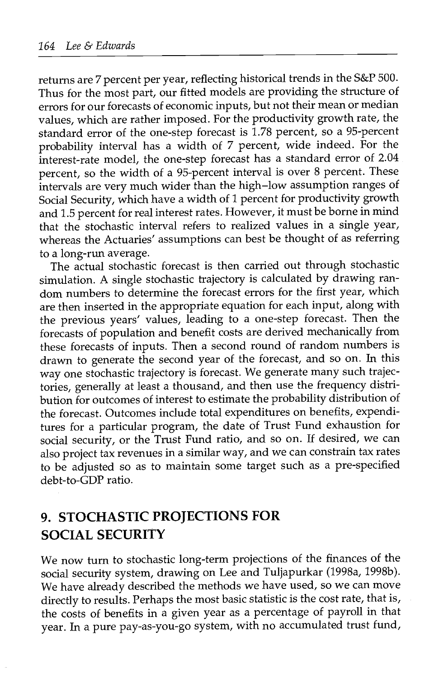returns are 7 percent per year, reflecting historical trends in the S&P 500. Thus for the most part, our fitted models are providing the structure of errors for our forecasts of economic inputs, but not their mean or median values, which are rather imposed. For the productivity growth rate, the standard error of the one-step forecast is 1.78 percent, so a 95-percent probability interval has a width of 7 percent, wide indeed. For the interest-rate model, the one-step forecast has a standard error of 2.04 percent, so the width of a 95-percent interval is over 8 percent. These intervals are very much wider than the high-low assumption ranges of Social Security, which have a width of 1 percent for productivity growth and 1.5 percent for real interest rates. However, it must be borne in mind that the stochastic interval refers to realized values in a single year, whereas the Actuaries' assumptions can best be thought of as referring to a long-run average.

The actual stochastic forecast is then carried out through stochastic simulation. A single stochastic trajectory is calculated by drawing random numbers to determine the forecast errors for the first year, which are then inserted in the appropriate equation for each input, along with the previous years' values, leading to a one-step forecast. Then the forecasts of population and benefit costs are derived mechanically from these forecasts of inputs. Then a second round of random numbers is drawn to generate the second year of the forecast, and so on. In this way one stochastic trajectory is forecast. We generate many such trajectories, generally at least a thousand, and then use the frequency distribution for outcomes of interest to estimate the probability distribution of the forecast. Outcomes include total expenditures on benefits, expenditures for a particular program, the date of Trust Fund exhaustion for social security, or the Trust Fund ratio, and so on. If desired, we can also project tax revenues in a similar way, and we can constrain tax rates to be adjusted so as to maintain some target such as a pre-specified debt-to-GDP ratio.

# 9. STOCHASTIC PROJECTIONS FOR SOCIAL SECURITY

We now turn to stochastic long-term projections of the finances of the social security system, drawing on Lee and Tuljapurkar (1998a, 1998b). We have already described the methods we have used, so we can move directly to results. Perhaps the most basic statistic is the cost rate, that is, the costs of benefits in a given year as a percentage of payroll in that year. In a pure pay-as-you-go system, with no accumulated trust fund,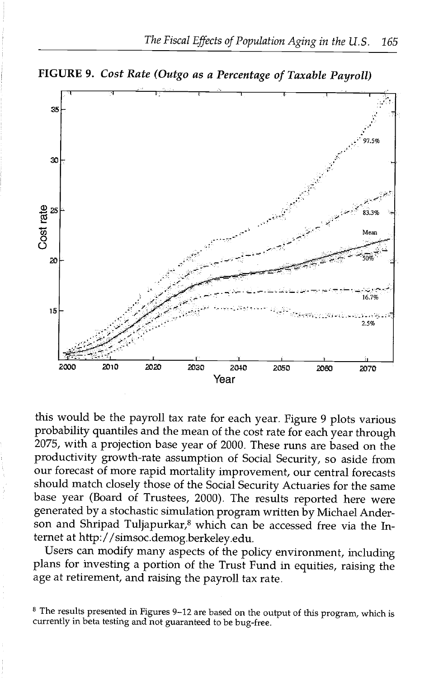

FIGURE 9. Cost Rate (Outgo as a Percentage of Taxable Payroll)

this would be the payroll tax rate for each year. Figure 9 plots various probability quantiles and the mean of the cost rate for each year through 2075, with a projection base year of 2000. These runs are based on the productivity growth-rate assumption of Social Security, so aside from our forecast of more rapid mortality improvement, our central forecasts should match closely those of the Social Security Actuaries for the same base year (Board of Trustees, 2000). The results reported here were generated by a stochastic simulation program written by Michael Anderson and Shripad Tuljapurkar,8 which can be accessed free via the Internet at http: / /simsoc.demog.berkeley.edu.

Users can modify many aspects of the policy environment, including plans for investing a portion of the Trust Fund in equities, raising the age at retirement, and raising the payroll tax rate.

<sup>8</sup> The results presented in Figures 9-12 are based on the output of this program, which is currently in beta testing and not guaranteed to be bug-free.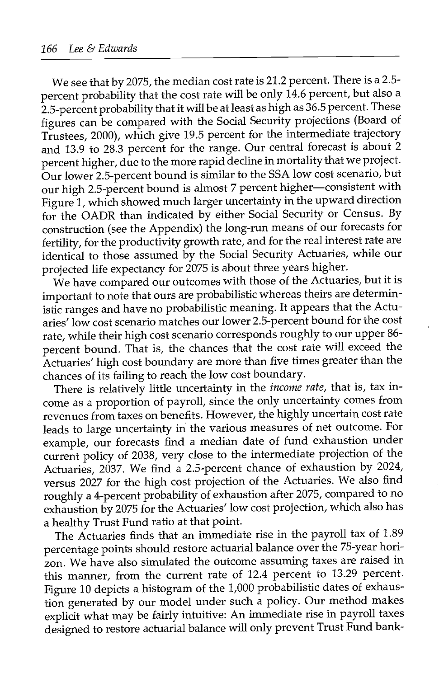We see that by 2075, the median cost rate is 21.2 percent. There is a 2.5 percent probability that the cost rate will be only  $14.6$  percent, but also a 2.5-percent probability that it will be at least as high as 36.5 percent. These figures can be compared with the Social Security projections (Board of Trustees, 2000), which give 19.5 percent for the intermediate trajectory and 13.9 to 28.3 percent for the range. Our central forecast is about 2 percent higher, due to the more rapid decline in mortality that we project. Our lower 2.5-percent bound is similar to the SSA low cost scenario, but our high 2.5-percent bound is almost 7 percent higher-consistent with Figure 1, which showed much larger uncertainty in the upward direction for the OADR than indicated by either Social Security or Census. By construction (see the Appendix) the long-run means of our forecasts for fertility, for the productivity growth rate, and for the real interest rate are identical to those assumed by the Social Security Actuaries, while our projected life expectancy for 2075 is about three years higher.

We have compared our outcomes with those of the Actuaries, but it is important to note that ours are probabilistic whereas theirs are deterministic ranges and have no probabilistic meaning. It appears that the Actuaries' low cost scenario matches our lower 2.5-percent bound for the cost rate, while their high cost scenario corresponds roughly to our upper 86 percent bound. That is, the chances that the cost rate will exceed the Actuaries' high cost boundary are more than five times greater than the chances of its failing to reach the low cost boundary.

There is relatively little uncertainty in the *income rate*, that is, tax income as a proportion of payroll, since the only uncertainty comes from revenues from taxes on benefits. However, the highly uncertain cost rate leads to large uncertainty in the various measures of net outcome. For example, our forecasts find a median date of fund exhaustion under current policy of 2038, very close to the intermediate projection of the Actuaries, 2037. We find a 2.5-percent chance of exhaustion by 2024, versus 2027 for the high cost projection of the Actuaries. We also find roughly a 4-percent probability of exhaustion after 2075, compared to no exhaustion by 2075 for the Actuaries' low cost projection, which also has a healthy Trust Fund ratio at that point.

The Actuaries finds that an immediate rise in the payroll tax of 1.89 percentage points should restore actuarial balance over the 75-year horizon. We have also simulated the outcome assuming taxes are raised in this manner, from the current rate of 12.4 percent to 13.29 percent. Figure 10 depicts a histogram of the 1,000 probabilistic dates of exhaustion generated by our model under such a policy. Our method makes explicit what may be fairly intuitive: An immediate rise in payroll taxes designed to restore actuarial balance wifi only prevent Trust Fund bank-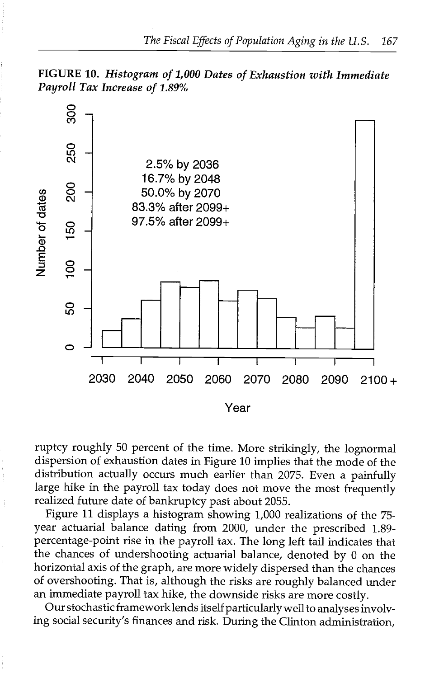



ruptcy roughly 50 percent of the time. More strikingly, the lognormal dispersion of exhaustion dates in Figure 10 implies that the mode of the distribution actually occurs much earlier than 2075. Even a painfully large hike in the payroll tax today does not move the most frequently realized future date of bankruptcy past about 2055.

Figure 11 displays a histogram showing 1,000 realizations of the 75 year actuarial balance dating from 2000, under the prescribed 1.89 percentage-point rise in the payroll tax. The long left tail indicates that the chances of undershooting actuarial balance, denoted by 0 on the horizontal axis of the graph, are more widely dispersed than the chances of overshooting. That is, although the risks are roughly balanced under an immediate payroll tax hike, the downside risks are more costly.

Our stochastic framework lends itself particularly well to analyses involving social security's finances and risk. During the Clinton administration,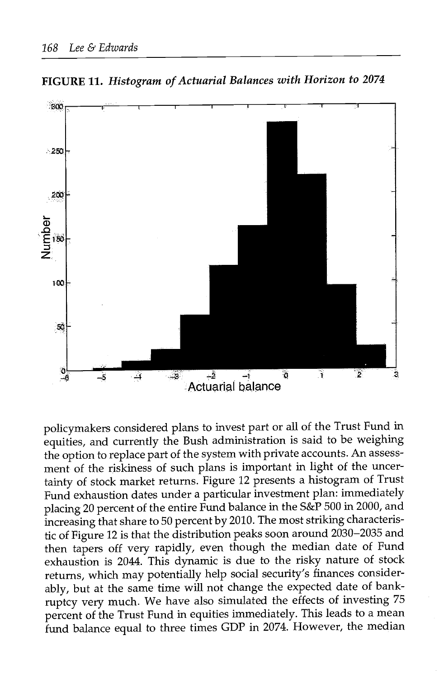

FIGURE 11. Histogram of Actuarial Balances with Horizon to 2074

policymakers considered plans to invest part or all of the Trust Fund in equities, and currently the Bush administration is said to be weighing the option to replace part of the system with private accounts. An assessment of the riskiness of such plans is important in light of the uncertainty of stock market returns. Figure 12 presents a histogram of Trust Fund exhaustion dates under a particular investment plan: immediately placing 20 percent of the entire Fund balance in the S&P 500 in 2000, and increasing that share to 50 percent by 2010. The most striking characteristic of Figure 12 is that the distribution peaks soon around 2030-2035 and then tapers off very rapidly, even though the median date of Fund exhaustion is 2044. This dynamic is due to the risky nature of stock returns, which may potentially help social security's finances considerably, but at the same time will not change the expected date of bankruptcy very much. We have also simulated the effects of investing 75 percent of the Trust Fund in equities immediately. This leads to a mean fund balance equal to three times GDP in 2074. However, the median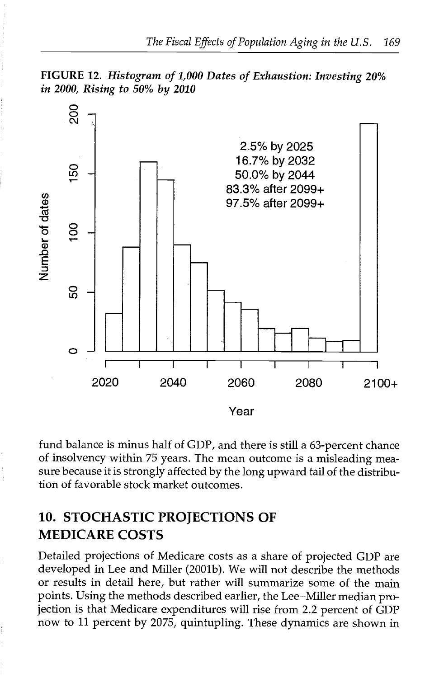



fund balance is minus half of GDP, and there is still a 63-percent chance of insolvency within 75 years. The mean outcome is a misleading measure because it is strongly affected by the long upward tail of the distribution of favorable stock market outcomes.

# 10. STOCHASTIC PROJECTIONS OF MEDICARE COSTS

Detailed projections of Medicare costs as a share of projected GDP are developed in Lee and Miller (2001b). We wifi not describe the methods or results in detail here, but rather wifi summarize some of the main points. Using the methods described earlier, the Lee-Miller median projection is that Medicare expenditures will rise from 2.2 percent of GDP now to 11 percent by 2075, quintupling. These dynamics are shown in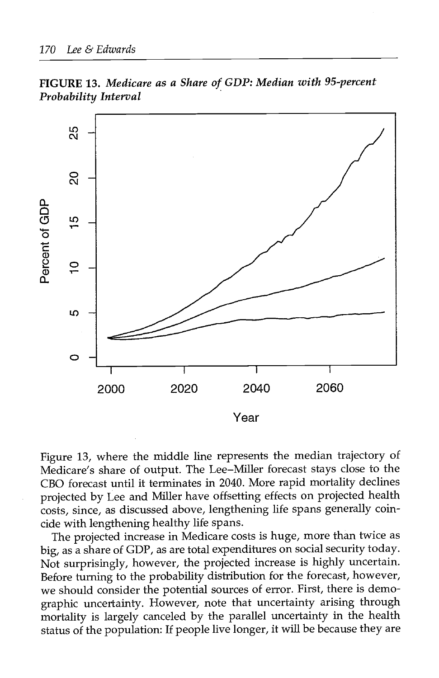



Figure 13, where the middle line represents the median trajectory of Medicare's share of output. The Lee-Miller forecast stays close to the CBO forecast until it terminates in 2040. More rapid mortality declines projected by Lee and Miller have offsetting effects on projected health costs, since, as discussed above, lengthening life spans generally coincide with lengthening healthy life spans.

The projected increase in Medicare costs is huge, more than twice as big, as a share of GDP, as are total expenditures on social security today. Not surprisingly, however, the projected increase is highly uncertain. Before turning to the probability distribution for the forecast, however, we should consider the potential sources of error. First, there is demographic uncertainty. However, note that uncertainty arising through mortality is largely canceled by the parallel uncertainty in the health status of the population: If people live longer, it wifi be because they are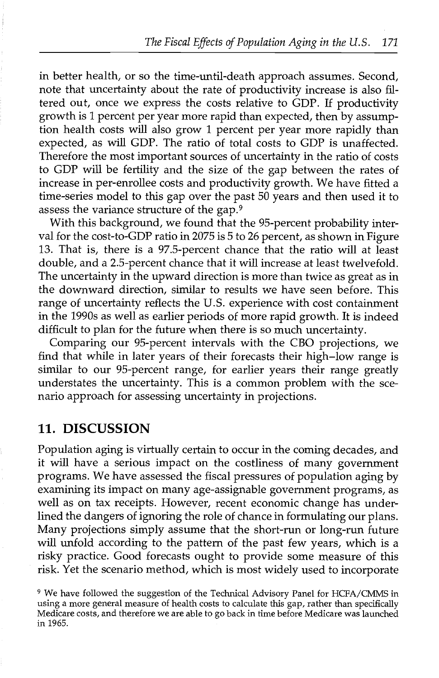in better health, or so the time-until-death approach assumes. Second, note that uncertainty about the rate of productivity increase is also filtered out, once we express the costs relative to GDP. If productivity growth is 1 percent per year more rapid than expected, then by assumption health costs will also grow 1 percent per year more rapidly than expected, as will GDP. The ratio of total costs to GDP is unaffected. Therefore the most important sources of uncertainty in the ratio of costs to GDP will be fertility and the size of the gap between the rates of increase in per-enrollee costs and productivity growth. We have fitted a time-series model to this gap over the past 50 years and then used it to assess the variance structure of the gap.<sup>9</sup>

With this background, we found that the 95-percent probability interval for the cost-to-GDP ratio in 2075 is 5 to 26 percent, as shown in Figure 13. That is, there is a 97.5-percent chance that the ratio will at least double, and a 2.5-percent chance that it will increase at least twelvefold. The uncertainty in the upward direction is more than twice as great as in the downward direction, similar to results we have seen before. This range of uncertainty reflects the U.S. experience with cost containment in the 1990s as well as earlier periods of more rapid growth. It is indeed difficult to plan for the future when there is so much uncertainty.

Comparing our 95-percent intervals with the CBO projections, we find that while in later years of their forecasts their high-low range is similar to our 95-percent range, for earlier years their range greatly understates the uncertainty. This is a common problem with the scenario approach for assessing uncertainty in projections.

### 11. DISCUSSION

Population aging is virtually certain to occur in the coming decades, and it wifi have a serious impact on the costliness of many government programs. We have assessed the fiscal pressures of population aging by examining its impact on many age-assignable government programs, as well as on tax receipts. However, recent economic change has underlined the dangers of ignoring the role of chance in formulating our plans. Many projections simply assume that the short-run or long-run future will unfold according to the pattern of the past few years, which is a risky practice. Good forecasts ought to provide some measure of this risk. Yet the scenario method, which is most widely used to incorporate

<sup>&</sup>lt;sup>9</sup> We have followed the suggestion of the Technical Advisory Panel for HCFA/CMMS in using a more general measure of health costs to calculate this gap, rather than specifically Medicare costs, and therefore we are able to go back in time before Medicare was launched in 1965.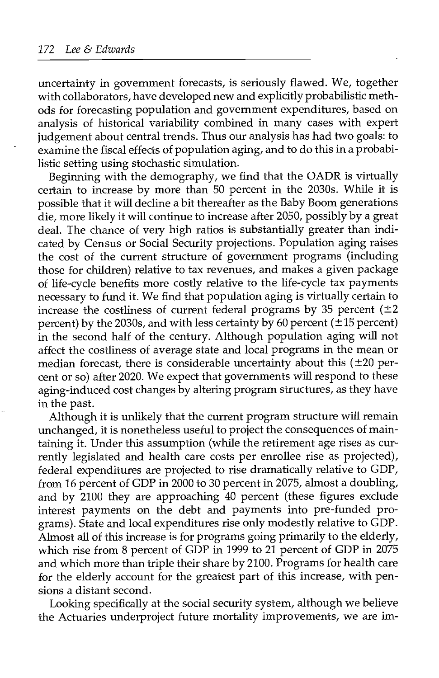uncertainty in government forecasts, is seriously flawed. We, together with collaborators, have developed new and explicitly probabilistic methods for forecasting population and government expenditures, based on analysis of historical variability combined in many cases with expert judgement about central trends. Thus our analysis has had two goals: to examine the fiscal effects of population aging, and to do this in a probabilistic setting using stochastic simulation.

Beginning with the demography, we find that the OADR is virtually certain to increase by more than 50 percent in the 2030s. While it is possible that it will decline a bit thereafter as the Baby Boom generations die, more likely it will continue to increase after 2050, possibly by a great deal. The chance of very high ratios is substantially greater than indicated by Census or Social Security projections. Population aging raises the cost of the current structure of government programs (including those for children) relative to tax revenues, and makes a given package of life-cycle benefits more costly relative to the life-cycle tax payments necessary to fund it. We find that population aging is virtually certain to increase the costliness of current federal programs by 35 percent  $(\pm 2)$ percent) by the 2030s, and with less certainty by 60 percent ( $\pm$ 15 percent) in the second half of the century. Although population aging will not affect the costliness of average state and local programs in the mean or median forecast, there is considerable uncertainty about this  $(\pm 20 \text{ per-}$ cent or so) after 2020. We expect that governments wifi respond to these aging-induced cost changes by altering program structures, as they have in the past.

Although it is unlikely that the current program structure will remain unchanged, it is nonetheless useful to project the consequences of maintaining it. Under this assumption (while the retirement age rises as currently legislated and health care costs per enrollee rise as projected), federal expenditures are projected to rise dramatically relative to GDP, from 16 percent of GDP in 2000 to 30 percent in 2075, almost a doubling, and by 2100 they are approaching 40 percent (these figures exclude interest payments on the debt and payments into pre-funded programs). State and local expenditures rise only modestly relative to GDP. Almost all of this increase is for programs going primarily to the elderly, which rise from 8 percent of GDP in 1999 to 21 percent of GDP in 2075 and which more than triple their share by 2100. Programs for health care for the elderly account for the greatest part of this increase, with pensions a distant second.

Looking specifically at the social security system, although we believe the Actuaries underproject future mortality improvements, we are im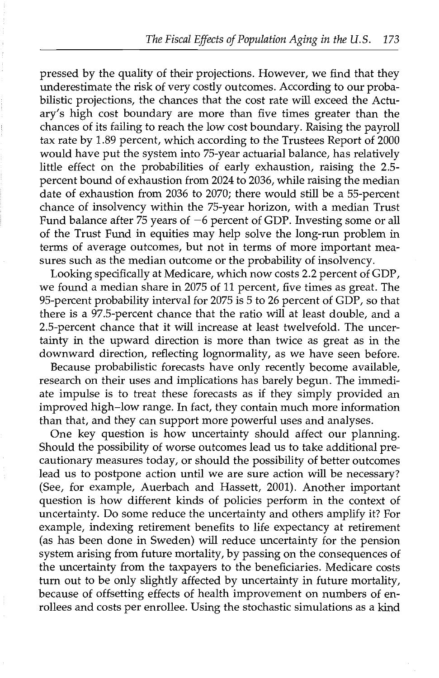pressed by the quality of their projections. However, we find that they underestimate the risk of very costly outcomes. According to our probabilistic projections, the chances that the cost rate will exceed the Actuary's high cost boundary are more than five times greater than the chances of its failing to reach the low cost boundary. Raising the payroll tax rate by 1.89 percent, which according to the Trustees Report of 2000 would have put the system into 75-year actuarial balance, has relatively little effect on the probabilities of early exhaustion, raising the 2.5 percent bound of exhaustion from 2024 to 2036, while raising the median date of exhaustion from 2036 to 2070; there would still be a 55-percent chance of insolvency within the 75-year horizon, with a median Trust Fund balance after 75 years of  $-6$  percent of GDP. Investing some or all of the Trust Fund in equities may help solve the long-run problem in terms of average outcomes, but not in terms of more important measures such as the median outcome or the probability of insolvency.

Looking specifically at Medicare, which now costs 2.2 percent of GDP, we found a median share in 2075 of 11 percent, five times as great. The 95-percent probability interval for 2075 is 5 to 26 percent of  $GDP$ , so that there is a 97.5-percent chance that the ratio will at least double, and a 2.5-percent chance that it will increase at least twelvefold. The uncertainty in the upward direction is more than twice as great as in the downward direction, reflecting lognormality, as we have seen before.

Because probabilistic forecasts have only recently become available, research on their uses and implications has barely begun. The immediate impulse is to treat these forecasts as if they simply provided an improved high-low range. In fact, they contain much more information than that, and they can support more powerful uses and analyses.

One key question is how uncertainty should affect our planning. Should the possibility of worse outcomes lead us to take additional precautionary measures today, or should the possibility of better outcomes lead us to postpone action until we are sure action will be necessary? (See, for example, Auerbach and Hassett, 2001). Another important question is how different kinds of policies perform in the context of uncertainty. Do some reduce the uncertainty and others amplify it? For example, indexing retirement benefits to life expectancy at retirement (as has been done in Sweden) wifi reduce uncertainty for the pension system arising from future mortality, by passing on the consequences of the uncertainty from the taxpayers to the beneficiaries. Medicare costs turn out to be only slightly affected by uncertainty in future mortality, because of offsetting effects of health improvement on numbers of enrollees and costs per enrollee. Using the stochastic simulations as a kind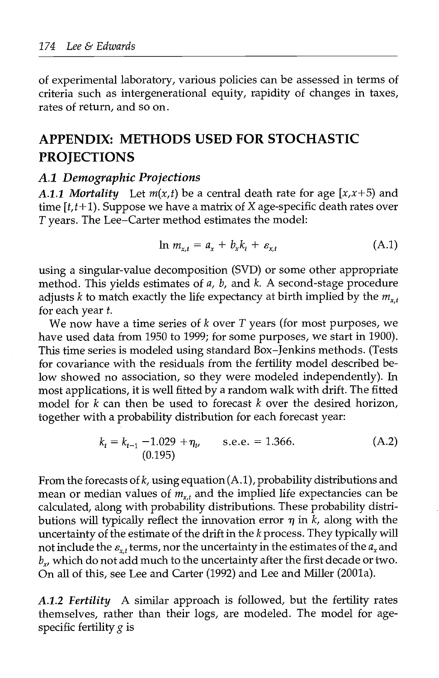of experimental laboratory, various policies can be assessed in terms of criteria such as intergenerational equity, rapidity of changes in taxes, rates of return, and so on.

# APPENDIX: METHODS USED FOR STOCHASTIC **PROJECTIONS**

#### A.1 Demographic Projections

A.1.1 Mortality Let  $m(x,t)$  be a central death rate for age [x,x+5) and time  $[t, t+1)$ . Suppose we have a matrix of X age-specific death rates over  $T$  years. The Lee–Carter method estimates the model:

$$
\ln m_{x,t} = a_x + b_x k_t + \varepsilon_{x,t} \tag{A.1}
$$

using a singular-value decomposition (SVD) or some other appropriate method. This yields estimates of  $a$ ,  $b$ , and  $k$ . A second-stage procedure adjusts k to match exactly the life expectancy at birth implied by the  $m_{x,t}$ for each year t.

We now have a time series of  $k$  over  $T$  years (for most purposes, we have used data from 1950 to 1999; for some purposes, we start in 1900). This time series is modeled using standard Box-Jenkins methods. (Tests for covariance with the residuals from the fertility model described below showed no association, so they were modeled independently). In most applications, it is well fitted by a random walk with drift. The fitted model for  $k$  can then be used to forecast  $k$  over the desired horizon, together with a probability distribution for each forecast year:

$$
k_t = k_{t-1} - 1.029 + \eta_t, \qquad \text{s.e.e.} = 1.366. \tag{A.2}
$$

From the forecasts of k, using equation (A. 1), probability distributions and mean or median values of  $m_{x,t}$  and the implied life expectancies can be calculated, along with probability distributions. These probability distributions will typically reflect the innovation error  $\eta$  in k, along with the uncertainty of the estimate of the drift in the k process. They typically will not include the  $\varepsilon_{rt}$  terms, nor the uncertainty in the estimates of the  $a_x$  and  $b_{\nu}$  which do not add much to the uncertainty after the first decade or two. On all of this, see Lee and Carter (1992) and Lee and Miller (2001a).

A.1.2 Fertility A similar approach is followed, but the fertility rates themselves, rather than their logs, are modeled. The model for agespecific fertility  $g$  is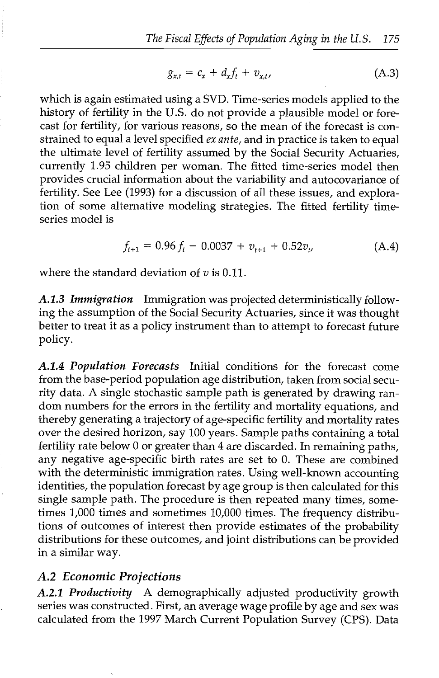$$
g_{x,t} = c_x + d_x f_t + v_{x,t}, \tag{A.3}
$$

which is again estimated using a SVD. Time-series models applied to the history of fertility in the U.S. do not provide a plausible model or forecast for fertility, for various reasons, so the mean of the forecast is constrained to equal a level specified  $ex$  ante, and in practice is taken to equal the ultimate level of fertility assumed by the Social Security Actuaries, currently 1.95 children per woman. The fitted time-series model then provides crucial information about the variability and autocovariance of fertility. See Lee (1993) for a discussion of all these issues, and exploration of some alternative modeling strategies. The fitted fertility timeseries model is

$$
f_{t+1} = 0.96 f_t - 0.0037 + v_{t+1} + 0.52v_t, \tag{A.4}
$$

where the standard deviation of  $v$  is 0.11.

A.1.3 Immigration Immigration was projected deterministically following the assumption of the Social Security Actuaries, since it was thought better to treat it as a policy instrument than to attempt to forecast future policy.

A.1.4 Population Forecasts Initial conditions for the forecast come from the base-period population age distribution, taken from social security data. A single stochastic sample path is generated by drawing random numbers for the errors in the fertility and mortality equations, and thereby generating a trajectory of age-specific fertility and mortality rates over the desired horizon, say 100 years. Sample paths containing a total fertility rate below 0 or greater than 4 are discarded. In remaining paths, any negative age-specific birth rates are set to 0. These are combined with the deterministic immigration rates. Using well-known accounting identities, the population forecast by age group is then calculated for this single sample path. The procedure is then repeated many times, sometimes 1,000 times and sometimes 10,000 times. The frequency distributions of outcomes of interest then provide estimates of the probability distributions for these outcomes, and joint distributions can be provided in a similar way.

#### A.2 Economic Projections

A.2.1 Productivity A demographically adjusted productivity growth series was constructed. First, an average wage profile by age and sex was calculated from the 1997 March Current Population Survey (CPS). Data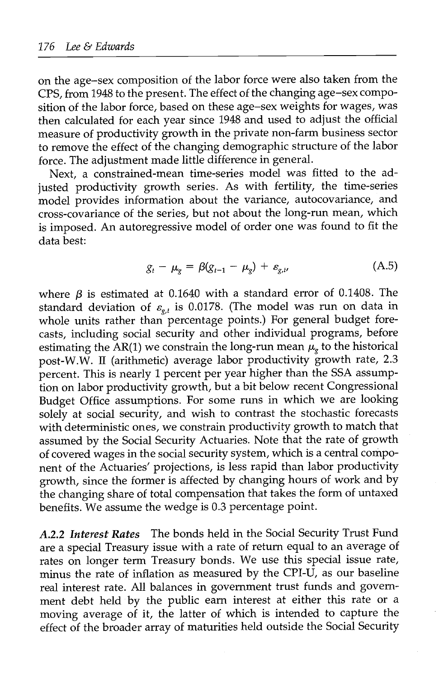on the age-sex composition of the labor force were also taken from the CPS, from 1948 to the present. The effect of the changing age-sex composition of the labor force, based on these age-sex weights for wages, was then calculated for each year since 1948 and used to adjust the official measure of productivity growth in the private non-farm business sector to remove the effect of the changing demographic structure of the labor force. The adjustment made little difference in general.

Next, a constrained-mean time-series model was fitted to the adjusted productivity growth series. As with fertility, the time-series model provides information about the variance, autocovariance, and cross-covariance of the series, but not about the long-run mean, which is imposed. An autoregressive model of order one was found to fit the data best:

$$
g_t - \mu_g = \beta (g_{t-1} - \mu_g) + \varepsilon_{g,t'} \tag{A.5}
$$

where  $\beta$  is estimated at 0.1640 with a standard error of 0.1408. The standard deviation of  $\varepsilon_{g,t}$  is 0.0178. (The model was run on data in whole units rather than percentage points.) For general budget forecasts, including social security and other individual programs, before estimating the AR(1) we constrain the long-run mean  $\mu_{\varphi}$  to the historical post-W.W. II (arithmetic) average labor productivity growth rate, 2.3 percent. This is nearly 1 percent per year higher than the SSA assumption on labor productivity growth, but a bit below recent Congressional Budget Office assumptions. For some runs in which we are looking solely at social security, and wish to contrast the stochastic forecasts with deterministic ones, we constrain productivity growth to match that assumed by the Social Security Actuaries. Note that the rate of growth of covered wages in the social security system, which is a central component of the Actuaries' projections, is less rapid than labor productivity growth, since the former is affected by changing hours of work and by the changing share of total compensation that takes the form of untaxed benefits. We assume the wedge is 0.3 percentage point.

A.2.2 Interest Rates The bonds held in the Social Security Trust Fund are a special Treasury issue with a rate of return equal to an average of rates on longer term Treasury bonds. We use this special issue rate, minus the rate of inflation as measured by the CPI-U, as our baseline real interest rate. All balances in government trust funds and government debt held by the public earn interest at either this rate or a moving average of it, the latter of which is intended to capture the effect of the broader array of maturities held outside the Social Security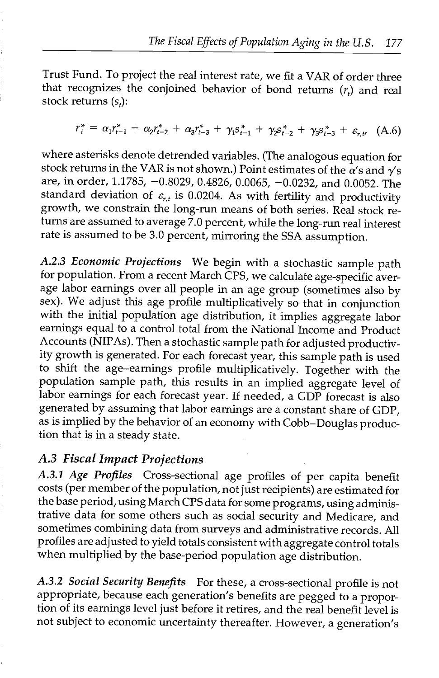Trust Fund. To project the real interest rate, we fit a VAR of order three that recognizes the conjoined behavior of bond returns  $(r_t)$  and real stock returns (s<sub>i</sub>):

$$
r_t^* = \alpha_1 r_{t-1}^* + \alpha_2 r_{t-2}^* + \alpha_3 r_{t-3}^* + \gamma_1 s_{t-1}^* + \gamma_2 s_{t-2}^* + \gamma_3 s_{t-3}^* + \varepsilon_{r,t} \quad \text{(A.6)}
$$

where asterisks denote detrended variables. (The analogous equation for stock returns in the VAR is not shown.) Point estimates of the  $\alpha'$ s and  $\gamma'$ s are, in order,  $1.1785$ ,  $-0.8029$ ,  $0.4826$ ,  $0.0065$ ,  $-0.0232$ , and  $0.0052$ . The standard deviation of  $\varepsilon_{r,t}$  is 0.0204. As with fertility and productivity growth, we constrain the long-run means of both series. Real stock returns are assumed to average 7.0 percent, while the long-run real interest rate is assumed to be 3.0 percent, mirroring the SSA assumption.

A.2.3 Economic Projections We begin with a stochastic sample path for population. From a recent March CPS, we calculate age-specific average labor earnings over all people in an age group (sometimes also by sex). We adjust this age profile multiplicatively so that in conjunction with the initial population age distribution, it implies aggregate labor earnings equal to a control total from the National Income and Product Accounts (NIPAs). Then a stochastic sample path for adjusted productivity growth is generated. For each forecast year, this sample path is used to shift the age-earnings profile multiplicatively. Together with the population sample path, this results in an implied aggregate level of labor earnings for each forecast year. If needed, a GDP forecast is also generated by assuming that labor earnings are a constant share of GDP, as is implied by the behavior of an economy with Cobb-Douglas production that is in a steady state.

### A.3 Fiscal Impact Projections

A.3.1 Age Profiles Cross-sectional age profiles of per capita benefit costs (per member of the population, not just recipients) are estimated for the base period, using March CPS data for some programs, using administrative data for some others such as social security and Medicare, and sometimes combining data from surveys and administrative records. All profiles are adjusted to yield totals consistent with aggregate control totals when multiplied by the base-period population age distribution.

A.3.2 Social Security Benefits For these, a cross-sectional profile is not appropriate, because each generation's benefits are pegged to a proportion of its earnings level just before it retires, and the real benefit level is not subject to economic uncertainty thereafter. However, a generation's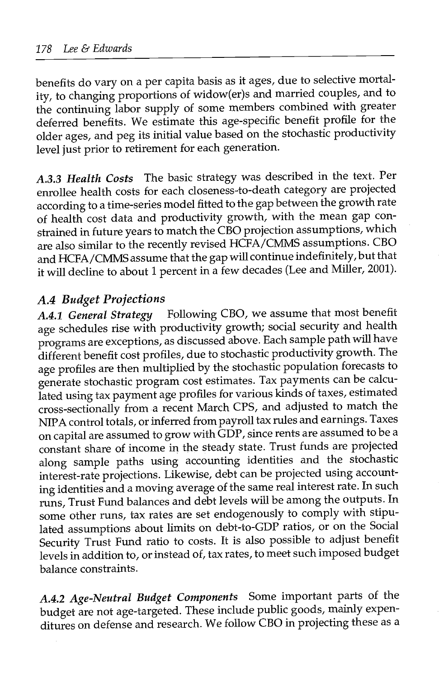benefits do vary on a per capita basis as it ages, due to selective mortality, to changing proportions of widow(er)s and married couples, and to the continuing labor supply of some members combined with greater deferred benefits. We estimate this age-specific benefit profile for the older ages, and peg its initial value based on the stochastic productivity level just prior to retirement for each generation.

A.3.3 Health Costs The basic strategy was described in the text. Per enrollee health costs for each closeness-to-death category are projected according to a time-series model fitted to the gap between the growth rate of health cost data and productivity growth, with the mean gap constrained in future years to match the CBO projection assumptions, which are also similar to the recently revised HCFA/CMIMS assumptions. CBO and HCFA/CMMS assume that the gap will continue indefinitely, but that it will decline to about 1 percent in a few decades (Lee and Miller, 2001).

## A.4 Budget Projections

A.4.1 General Strategy Following CBO, we assume that most benefit age schedules rise with productivity growth; social security and health programs are exceptions, as discussed above. Each sample path will have different benefit cost profiles, due to stochastic productivity growth. The age profiles are then multiplied by the stochastic population forecasts to generate stochastic program cost estimates. Tax payments can be calculated using tax payment age profiles for various kinds of taxes, estimated cross-sectionally from a recent March CPS, and adjusted to match the NIPA control totals, or inferred from payroll tax rules and earnings. Taxes on capital are assumed to grow with GDP, since rents are assumed to be a constant share of income in the steady state. Trust funds are projected along sample paths using accounting identities and the stochastic interest-rate projections. Likewise, debt can be projected using accounting identities and a moving average of the same real interest rate. In such runs, Trust Fund balances and debt levels will be among the outputs. In some other runs, tax rates are set endogenously to comply with stipulated assumptions about limits on debt-to-GDP ratios, or on the Social Security Trust Fund ratio to costs. It is also possible to adjust benefit levels in addition to, or instead of, tax rates, to meet such imposed budget balance constraints.

A.4.2 Age-Neutral Budget Components Some important parts of the budget are not age-targeted. These include public goods, mainly expenditures on defense and research. We follow CBO in projecting these as a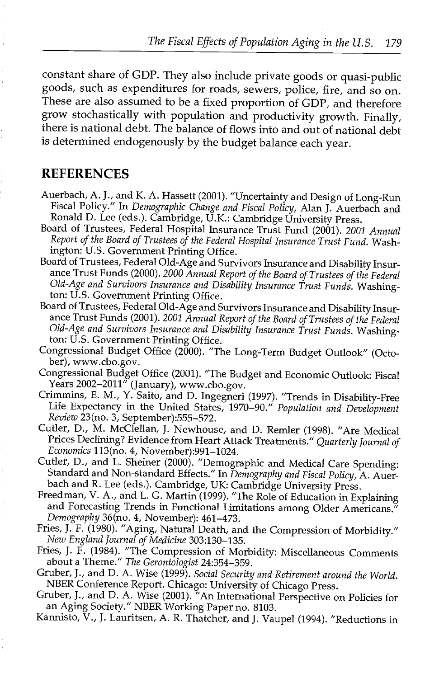constant share of GDP. They also include private goods or quasi-public goods, such as expenditures for roads, sewers, police, fire, and so on. These are also assumed to be a fixed proportion of GDP, and therefore grow stochastically with population and productivity growth. Finally, there is national debt. The balance of flows into and out of national debt is determined endogenously by the budget balance each year.

### REFERENCES

- Auerbach, A. J., and K. A. Hassett (2001). "Uncertainty and Design of Long-Run Fiscal Policy." In Demographic Change and Fiscal Policy, Alan J. Auerbach and Ronald D. Lee (eds.). Cambridge, U.K.: Cambridge University Press.
- Board of Trustees, Federal Hospital Insurance Trust Fund (2001). 2001 Annual Report of the Board of Trustees of the Federal Hospital Insurance Trust Fund. Washington: U.S. Government Printing Office.
- Board of Trustees, Federal Old-Age and Survivors Insurance and Disability Insurance Trust Funds (2000). 2000 Annual Report of the Board of Trustees of the Federal Old-Age and Survivors Insurance and Disability Insurance Trust Funds. Washington: U.S. Government Printing Office.
- Board of Trustees, Federal Old-Age and Survivors Insurance and Disability Insurance Trust Funds (2001). 2001 Annual Report of the Board of Trustees of the Federal Old-Age and Survivors Insurance and Disability Insurance Trust Funds. Washington: U.S. Government Printing Office.
- Congressional Budget Office (2000). "The Long-Term Budget Outlook" (October), www.cbo.gov.
- Congressional Budget Office (2001). "The Budget and Economic Outlook: Fiscal Years 2002-2011" (January), www.cbo.gov.
- Crimmins, E. M., Y. Saito, and D. Ingegneri (1997). "Trends in Disability-Free Life Expectancy in the United States, 1970-90." Population and Development Review 23(no. 3, September):555-572.
- Cutler, D., M. McClellan, J. Newhouse, and D. Remler (1998). "Are Medical Prices Declining? Evidence from Heart Attack Treatments." Quarterly Journal of Economics 113(no. 4, November):991-1024.
- Cutler, D., and L. Sheiner (2000). "Demographic and Medical Care Spending: Standard and Non-standard Effects." In Demography and Fiscal Policy, A. Auerbach and R. Lee (eds.). Cambridge, UK: Cambridge University Press.
- Freedman, V. A., and L. G. Martin (1999). "The Role of Education in Explaining and Forecasting Trends in Functional Limitations among Older Americans." Demography 36(no. 4, November): 461-473.
- Fries, J. F. (1980). "Aging, Natural Death, and the Compression of Morbidity." New England Journal of Medicine 303:130-135.
- Fries, J. F. (1984). "The Compression of Morbidity: Miscellaneous Comments about a Theme." The Gerontologist 24:354-359.
- Gruber, J., and D. A. Wise (1999). Social Security and Retirement around the World. NBER Conference Report. Chicago: University of Chicago Press.
- Gruber, J., and D. A. Wise (2001). "An International Perspective on Policies for an Aging Society." NBER Working Paper no. 8103.
- Kannisto, V., J. Lauritsen, A. R. Thatcher, and J. Vaupel (1994). "Reductions in